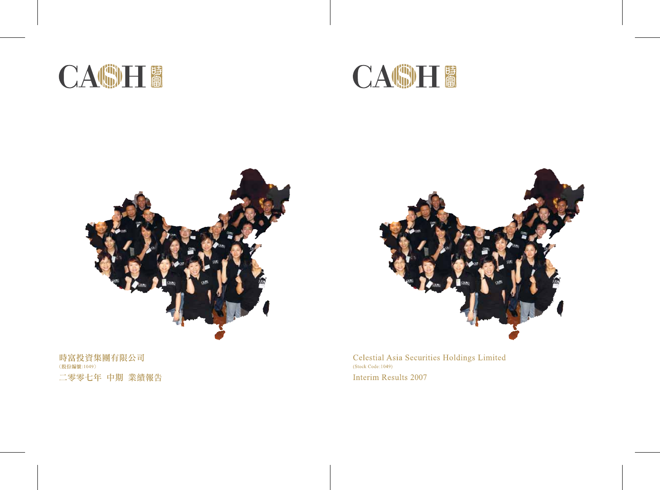



Celestial Asia Securities Holdings Limited  $(Stock Code:1049)$ Interim Results 2007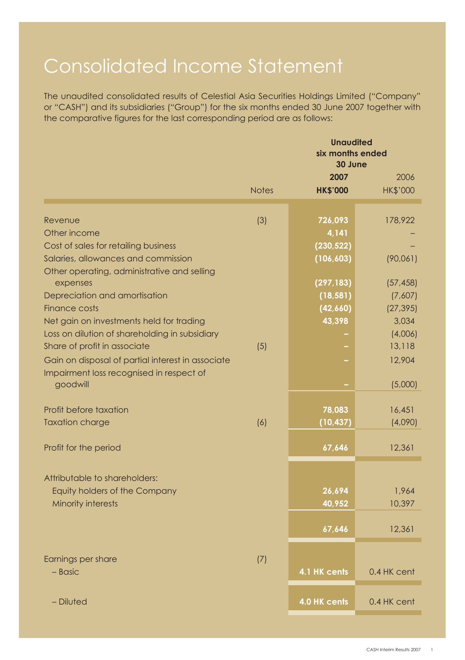# Consolidated Income Statement

The unaudited consolidated results of Celestial Asia Securities Holdings Limited ("Company" or "CASH") and its subsidiaries ("Group") for the six months ended 30 June 2007 together with the comparative figures for the last corresponding period are as follows:

|                                                         |              | <b>Unaudited</b><br>six months ended<br>30 June |                 |  |  |  |
|---------------------------------------------------------|--------------|-------------------------------------------------|-----------------|--|--|--|
|                                                         |              | 2007                                            | 2006            |  |  |  |
|                                                         | <b>Notes</b> | <b>HK\$'000</b>                                 | <b>HK\$'000</b> |  |  |  |
| Revenue                                                 | (3)          | 726,093                                         | 178,922         |  |  |  |
| Other income                                            |              | 4,141                                           |                 |  |  |  |
| Cost of sales for retailing business                    |              | (230, 522)                                      |                 |  |  |  |
| Salaries, allowances and commission                     |              | (106, 603)                                      | (90,061)        |  |  |  |
| Other operating, administrative and selling<br>expenses |              | (297, 183)                                      | (57, 458)       |  |  |  |
| Depreciation and amortisation                           |              | (18, 581)                                       | (7,607)         |  |  |  |
| Finance costs                                           |              | (42,660)                                        | (27, 395)       |  |  |  |
| Net gain on investments held for trading                |              | 43,398                                          | 3,034           |  |  |  |
| Loss on dilution of shareholding in subsidiary          |              |                                                 | (4,006)         |  |  |  |
| Share of profit in associate                            | (5)          |                                                 | 13,118          |  |  |  |
| Gain on disposal of partial interest in associate       |              |                                                 | 12,904          |  |  |  |
| Impairment loss recognised in respect of<br>goodwill    |              |                                                 | (5,000)         |  |  |  |
|                                                         |              |                                                 |                 |  |  |  |
| Profit before taxation                                  |              | 78,083                                          | 16,451          |  |  |  |
| <b>Taxation charge</b>                                  | (6)          | (10, 437)                                       | (4,090)         |  |  |  |
| Profit for the period                                   |              | 67,646                                          | 12,361          |  |  |  |
|                                                         |              |                                                 |                 |  |  |  |
| Attributable to shareholders:                           |              |                                                 |                 |  |  |  |
| Equity holders of the Company                           |              | 26,694                                          | 1,964           |  |  |  |
| Minority interests                                      |              | 40,952                                          | 10,397          |  |  |  |
|                                                         |              | 67,646                                          | 12,361          |  |  |  |
|                                                         |              |                                                 |                 |  |  |  |
| Earnings per share                                      | (7)          |                                                 |                 |  |  |  |
| $-$ Basic                                               |              | 4.1 HK cents                                    | 0.4 HK cent     |  |  |  |
| - Diluted                                               |              | 4.0 HK cents                                    | 0.4 HK cent     |  |  |  |
|                                                         |              |                                                 |                 |  |  |  |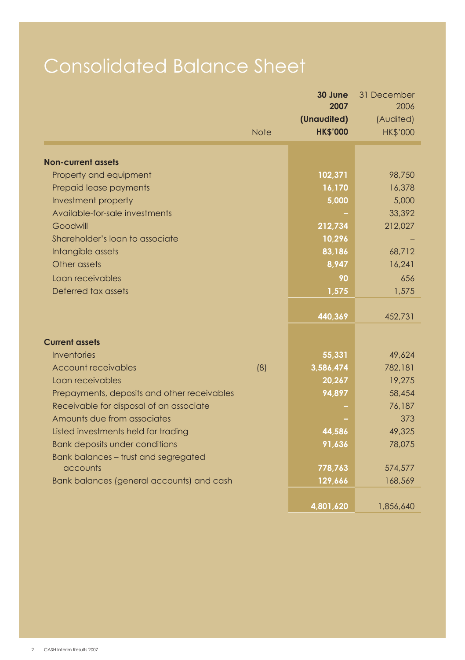# Consolidated Balance Sheet

|                                                |             | 30 June<br>2007  | 31 December<br>2006 |
|------------------------------------------------|-------------|------------------|---------------------|
|                                                |             | (Unaudited)      | (Audited)           |
|                                                | <b>Note</b> | <b>HK\$'000</b>  | <b>HK\$'000</b>     |
| <b>Non-current assets</b>                      |             |                  |                     |
| Property and equipment                         |             | 102,371          | 98,750              |
| Prepaid lease payments                         |             | 16,170           | 16,378              |
| Investment property                            |             | 5,000            | 5,000               |
| Available-for-sale investments                 |             |                  | 33,392              |
| Goodwill                                       |             | 212,734          | 212,027             |
| Shareholder's loan to associate                |             | 10,296           |                     |
| Intangible assets                              |             | 83,186           | 68,712              |
| Other assets                                   |             | 8,947            | 16,241              |
| Loan receivables                               |             | 90               | 656                 |
| Deferred tax assets                            |             | 1,575            | 1,575               |
|                                                |             |                  |                     |
|                                                |             | 440,369          | 452,731             |
|                                                |             |                  |                     |
| <b>Current assets</b>                          |             |                  |                     |
| <b>Inventories</b>                             |             | 55,331           | 49.624              |
| <b>Account receivables</b><br>Loan receivables | (8)         | 3,586,474        | 782,181<br>19,275   |
| Prepayments, deposits and other receivables    |             | 20,267<br>94,897 | 58,454              |
| Receivable for disposal of an associate        |             |                  | 76,187              |
| Amounts due from associates                    |             |                  | 373                 |
| Listed investments held for trading            |             | 44,586           | 49,325              |
| <b>Bank deposits under conditions</b>          |             | 91,636           | 78,075              |
| Bank balances - trust and segregated           |             |                  |                     |
| accounts                                       |             | 778,763          | 574,577             |
| Bank balances (general accounts) and cash      |             | 129,666          | 168,569             |
|                                                |             |                  |                     |
|                                                |             | 4,801,620        | 1,856,640           |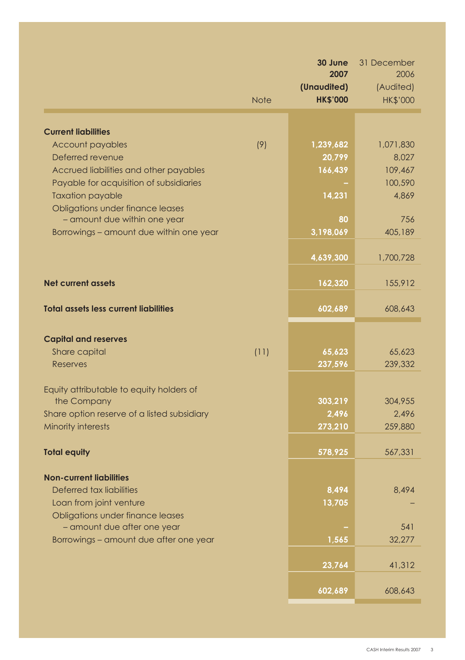|                                                                  |             | 30 June<br>2007   | 31 December<br>2006 |
|------------------------------------------------------------------|-------------|-------------------|---------------------|
|                                                                  |             | (Unaudited)       | (Audited)           |
|                                                                  | <b>Note</b> | <b>HK\$'000</b>   | <b>HK\$'000</b>     |
|                                                                  |             |                   |                     |
| <b>Current liabilities</b>                                       |             |                   |                     |
| Account payables                                                 | (9)         | 1,239,682         | 1,071,830           |
| Deferred revenue                                                 |             | 20,799            | 8,027               |
| Accrued liabilities and other payables                           |             | 166,439           | 109,467             |
| Payable for acquisition of subsidiaries                          |             |                   | 100,590             |
| <b>Taxation payable</b>                                          |             | 14,231            | 4,869               |
| Obligations under finance leases<br>- amount due within one year |             | 80                | 756                 |
| Borrowings - amount due within one year                          |             | 3,198,069         | 405,189             |
|                                                                  |             |                   |                     |
|                                                                  |             | 4,639,300         | 1,700,728           |
| <b>Net current assets</b>                                        |             | 162,320           | 155,912             |
|                                                                  |             |                   |                     |
| <b>Total assets less current liabilities</b>                     |             | 602,689           | 608,643             |
|                                                                  |             |                   |                     |
| <b>Capital and reserves</b>                                      |             |                   |                     |
| Share capital<br><b>Reserves</b>                                 | (11)        | 65,623<br>237,596 | 65,623<br>239,332   |
|                                                                  |             |                   |                     |
| Equity attributable to equity holders of                         |             |                   |                     |
| the Company                                                      |             | 303,219           | 304,955             |
| Share option reserve of a listed subsidiary                      |             | 2,496             | 2.496               |
| Minority interests                                               |             | 273,210           | 259,880             |
| <b>Total equity</b>                                              |             | 578,925           | 567,331             |
|                                                                  |             |                   |                     |
| <b>Non-current liabilities</b><br>Deferred tax liabilities       |             | 8,494             | 8.494               |
| Loan from joint venture                                          |             | 13,705            |                     |
| Obligations under finance leases                                 |             |                   |                     |
| - amount due after one year                                      |             |                   | 541                 |
| Borrowings – amount due after one year                           |             | 1,565             | 32,277              |
|                                                                  |             |                   |                     |
|                                                                  |             | 23,764            | 41,312              |
|                                                                  |             | 602,689           | 608,643             |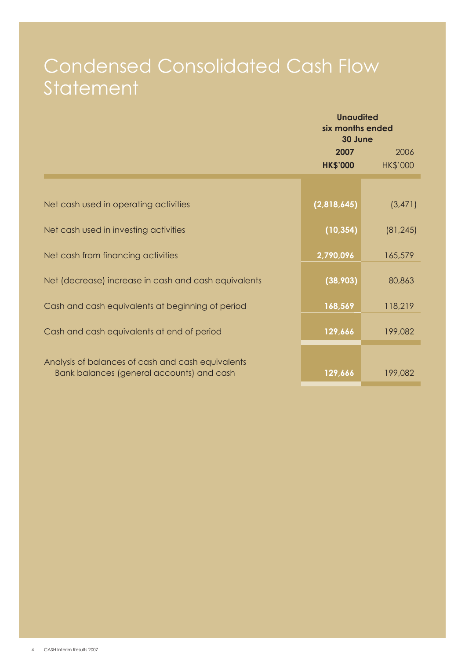## Condensed Consolidated Cash Flow **Statement**

|                                                                                                | <b>Unaudited</b><br>six months ended<br>30 June |                 |  |  |
|------------------------------------------------------------------------------------------------|-------------------------------------------------|-----------------|--|--|
|                                                                                                | 2006<br>2007                                    |                 |  |  |
|                                                                                                | <b>HK\$'000</b>                                 | <b>HK\$'000</b> |  |  |
|                                                                                                |                                                 |                 |  |  |
| Net cash used in operating activities                                                          | (2,818,645)                                     | (3, 471)        |  |  |
| Net cash used in investing activities                                                          | (10, 354)                                       | (81, 245)       |  |  |
| Net cash from financing activities                                                             | 2,790,096                                       | 165,579         |  |  |
| Net (decrease) increase in cash and cash equivalents                                           | (38,903)                                        | 80,863          |  |  |
| Cash and cash equivalents at beginning of period                                               | 168,569                                         | 118,219         |  |  |
| Cash and cash equivalents at end of period                                                     | 129,666                                         | 199,082         |  |  |
| Analysis of balances of cash and cash equivalents<br>Bank balances (general accounts) and cash | 129,666                                         | 199,082         |  |  |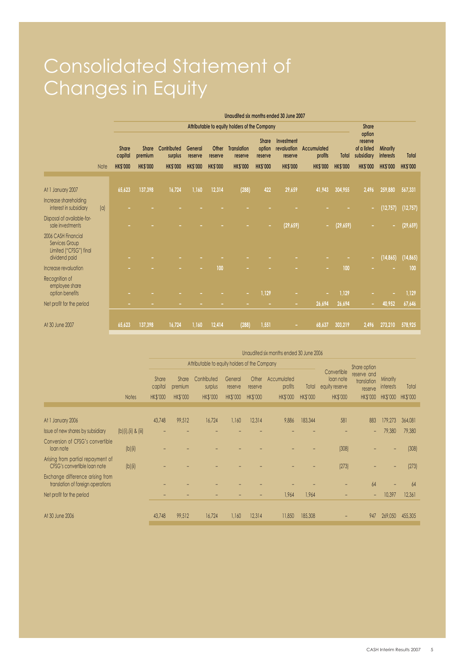# Consolidated Statement of Changes in Equity

|                                                                 |      | Unaudited six months ended 30 June 2007 |                                               |                        |                    |                  |                               |                            |                                      |                        |                 |                                                |                       |                 |
|-----------------------------------------------------------------|------|-----------------------------------------|-----------------------------------------------|------------------------|--------------------|------------------|-------------------------------|----------------------------|--------------------------------------|------------------------|-----------------|------------------------------------------------|-----------------------|-----------------|
|                                                                 |      |                                         | Attributable to equity holders of the Company |                        |                    |                  |                               |                            |                                      |                        |                 |                                                |                       |                 |
|                                                                 |      | Share<br>capital                        | Share<br>premium                              | Contributed<br>surplus | General<br>reserve | Other<br>reserve | <b>Translation</b><br>reserve | Share<br>option<br>reserve | Investment<br>revaluation<br>reserve | Accumulated<br>profits | Total           | option<br>reserve<br>of a listed<br>subsidiary | Minority<br>interests | Total           |
|                                                                 | Note | <b>HK\$'000</b>                         | <b>HK\$'000</b>                               | <b>HK\$'000</b>        | <b>HK\$'000</b>    | <b>HK\$'000</b>  | <b>HK\$'000</b>               | <b>HK\$'000</b>            | <b>HK\$'000</b>                      | <b>HK\$'000</b>        | <b>HK\$'000</b> | <b>HK\$'000</b>                                | <b>HK\$'000</b>       | <b>HK\$'000</b> |
|                                                                 |      |                                         |                                               |                        |                    |                  |                               |                            |                                      |                        |                 |                                                |                       |                 |
| At 1 January 2007                                               |      | 65,623                                  | 137.398                                       | 16,724                 | 1,160              | 12.314           | (288)                         | 422                        | 29,659                               | 41,943                 | 304,955         | 2.496                                          | 259,880               | 567,331         |
| Increase shareholding<br>interest in subsidiary                 | a    |                                         |                                               |                        |                    |                  |                               |                            |                                      |                        |                 | ٠                                              | (12, 757)             | (12, 757)       |
| Disposal of available-for-<br>sale investments                  |      |                                         |                                               |                        |                    |                  |                               |                            | (29, 659)                            | ٠                      | (29, 659)       |                                                |                       | (29, 659)       |
| 2006 CASH Financial<br>Services Group<br>Limited ("CFSG") final |      |                                         |                                               |                        |                    |                  |                               |                            |                                      |                        |                 |                                                |                       |                 |
| dividend paid                                                   |      |                                         |                                               |                        |                    |                  |                               |                            |                                      |                        |                 | ٠                                              | (14, 865)             | (14, 865)       |
| Increase revaluation                                            |      |                                         |                                               |                        |                    | 100              |                               |                            |                                      |                        | 100             |                                                |                       | 100             |
| Recognition of<br>employee share<br>option benefits             |      |                                         |                                               |                        |                    |                  | ٠                             | 1,129                      |                                      | ۰                      | 1,129           |                                                |                       | 1,129           |
| Net profit for the period                                       |      |                                         |                                               |                        |                    |                  |                               |                            | ٠                                    | 26,694                 | 26,694          |                                                | 40.952                | 67,646          |
|                                                                 |      |                                         |                                               |                        |                    |                  |                               |                            |                                      |                        |                 |                                                |                       |                 |
| At 30 June 2007                                                 |      | 65,623                                  | 137,398                                       | 16,724                 | 1,160              | 12,414           | (288)                         | 1,551                      |                                      | 68.637                 | 303,219         | 2,496                                          | 273,210               | 578,925         |

|                                                                       |                     | Unaudited six months ended 30 June 2006 |                                     |                                               |                                       |                                     |                                    |                          |                                                        |                                                   |                                   |                   |
|-----------------------------------------------------------------------|---------------------|-----------------------------------------|-------------------------------------|-----------------------------------------------|---------------------------------------|-------------------------------------|------------------------------------|--------------------------|--------------------------------------------------------|---------------------------------------------------|-----------------------------------|-------------------|
|                                                                       |                     |                                         |                                     | Attributable to equity holders of the Company |                                       |                                     |                                    |                          |                                                        | Share option                                      |                                   |                   |
| <b>Notes</b>                                                          |                     | Share<br>capital<br><b>HK\$'000</b>     | Share<br>premium<br><b>HK\$'000</b> | Contributed<br>surplus<br>HK\$'000            | General<br>reserve<br><b>HK\$'000</b> | Other<br>reserve<br><b>HK\$'000</b> | Accumulated<br>profits<br>HK\$'000 | Total<br><b>HK\$'000</b> | Convertible<br>loan note<br>equity reserve<br>HK\$'000 | reserve and<br>translation<br>reserve<br>HK\$'000 | Minority<br>interests<br>HK\$'000 | Total<br>HK\$'000 |
|                                                                       |                     |                                         |                                     |                                               |                                       |                                     |                                    |                          |                                                        |                                                   |                                   |                   |
| At 1 January 2006                                                     |                     | 43,748                                  | 99.512                              | 16.724                                        | 1.160                                 | 12.314                              | 9.886                              | 183,344                  | 581                                                    | 883                                               | 179.273                           | 364.081           |
| Issue of new shares by subsidiary                                     | (b)(i),(ii) & (iii) |                                         |                                     |                                               |                                       |                                     |                                    |                          |                                                        | $\overline{\phantom{a}}$                          | 79.380                            | 79,380            |
| Conversion of CFSG's convertible<br>loan note                         | [b](ii)             |                                         |                                     |                                               |                                       |                                     |                                    |                          | (308)                                                  |                                                   |                                   | (308)             |
| Arising from partial repayment of<br>CFSG's convertible loan note     | $[b]$ (ii)          |                                         |                                     |                                               |                                       |                                     |                                    |                          | (273)                                                  |                                                   |                                   | [273]             |
| Exchange difference arising from<br>translation of foreign operations |                     |                                         |                                     |                                               |                                       |                                     |                                    |                          |                                                        | 64                                                |                                   | 64                |
| Net profit for the period                                             |                     |                                         |                                     |                                               |                                       |                                     | 1,964                              | 1.964                    |                                                        | $\overline{\phantom{a}}$                          | 10,397                            | 12.361            |
| At 30 June 2006                                                       |                     | 43,748                                  | 99.512                              | 16.724                                        | 1.160                                 | 12.314                              | 11,850                             | 185,308                  |                                                        | 947                                               | 269,050                           | 455,305           |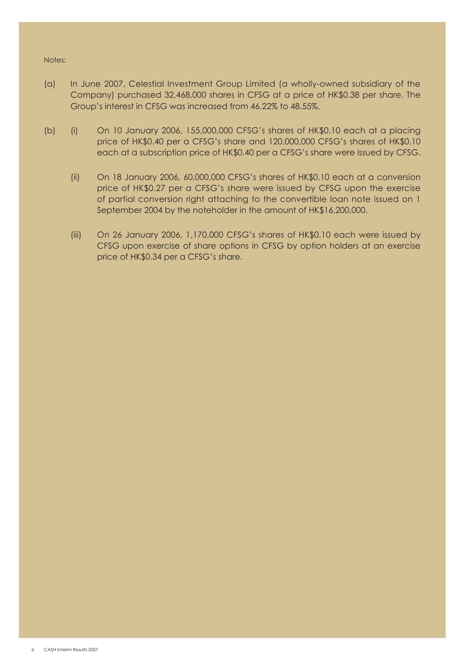#### Notes:

- (a) In June 2007, Celestial Investment Group Limited (a wholly-owned subsidiary of the Company) purchased 32,468,000 shares in CFSG at a price of HK\$0.38 per share. The Group's interest in CFSG was increased from 46.22% to 48.55%.
- (b) (i) On 10 January 2006, 155,000,000 CFSG's shares of HK\$0.10 each at a placing price of HK\$0.40 per a CFSG's share and 120,000,000 CFSG's shares of HK\$0.10 each at a subscription price of HK\$0.40 per a CFSG's share were issued by CFSG.
	- (ii) On 18 January 2006, 60,000,000 CFSG's shares of HK\$0.10 each at a conversion price of HK\$0.27 per a CFSG's share were issued by CFSG upon the exercise of partial conversion right attaching to the convertible loan note issued on 1 September 2004 by the noteholder in the amount of HK\$16,200,000.
	- (iii) On 26 January 2006, 1,170,000 CFSG's shares of HK\$0.10 each were issued by CFSG upon exercise of share options in CFSG by option holders at an exercise price of HK\$0.34 per a CFSG's share.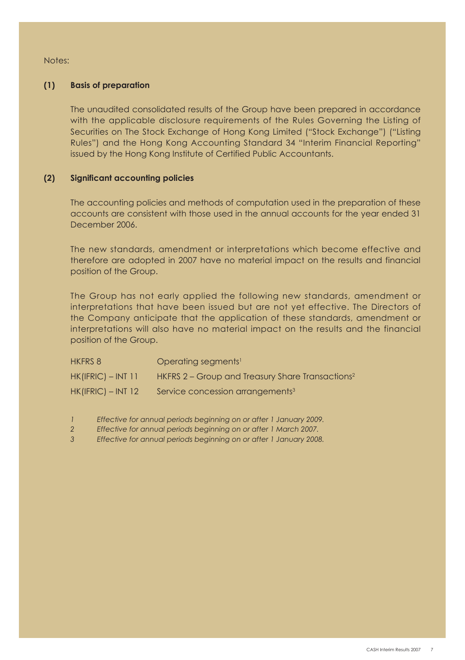Notes:

## **(1) Basis of preparation**

The unaudited consolidated results of the Group have been prepared in accordance with the applicable disclosure requirements of the Rules Governing the Listing of Securities on The Stock Exchange of Hong Kong Limited ("Stock Exchange") ("Listing Rules") and the Hong Kong Accounting Standard 34 "Interim Financial Reporting" issued by the Hong Kong Institute of Certified Public Accountants.

## **(2) Significant accounting policies**

The accounting policies and methods of computation used in the preparation of these accounts are consistent with those used in the annual accounts for the year ended 31 December 2006.

The new standards, amendment or interpretations which become effective and therefore are adopted in 2007 have no material impact on the results and financial position of the Group.

The Group has not early applied the following new standards, amendment or interpretations that have been issued but are not yet effective. The Directors of the Company anticipate that the application of these standards, amendment or interpretations will also have no material impact on the results and the financial position of the Group.

| <b>HKFRS 8</b>       | Operating segments <sup>1</sup>                              |
|----------------------|--------------------------------------------------------------|
| $HK(IFRIC) - INT 11$ | HKFRS 2 – Group and Treasury Share Transactions <sup>2</sup> |
| $HK(IFRIC) - INT 12$ | Service concession arrangements <sup>3</sup>                 |

*1 Effective for annual periods beginning on or after 1 January 2009.*

*2 Effective for annual periods beginning on or after 1 March 2007.*

*3 Effective for annual periods beginning on or after 1 January 2008.*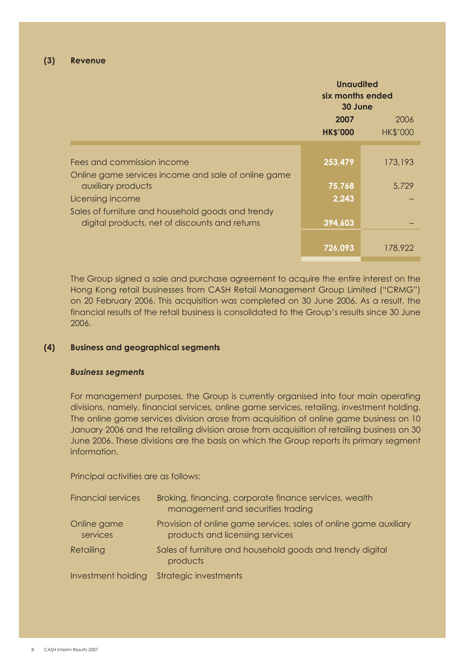|                                                                                   | <b>Unaudited</b><br>six months ended<br>30 June |                         |  |
|-----------------------------------------------------------------------------------|-------------------------------------------------|-------------------------|--|
|                                                                                   | 2007<br><b>HK\$'000</b>                         | 2006<br><b>HK\$'000</b> |  |
| Fees and commission income<br>Online game services income and sale of online game | 253.479                                         | 173,193                 |  |
| auxiliary products                                                                | 75.768                                          | 5.729                   |  |
| Licensing income<br>Sales of furniture and household goods and trendy             | 2,243                                           |                         |  |
| digital products, net of discounts and returns                                    | 394,603                                         |                         |  |
|                                                                                   | 726.093                                         | 178,922                 |  |

The Group signed a sale and purchase agreement to acquire the entire interest on the Hong Kong retail businesses from CASH Retail Management Group Limited ("CRMG") on 20 February 2006. This acquisition was completed on 30 June 2006. As a result, the financial results of the retail business is consolidated to the Group's results since 30 June 2006.

#### **(4) Business and geographical segments**

#### *Business segments*

For management purposes, the Group is currently organised into four main operating divisions, namely, financial services, online game services, retailing, investment holding. The online game services division arose from acquisition of online game business on 10 January 2006 and the retailing division arose from acquisition of retailing business on 30 June 2006. These divisions are the basis on which the Group reports its primary segment information.

Principal activities are as follows:

| <b>Financial services</b> | Broking, financing, corporate finance services, wealth<br>management and securities trading          |
|---------------------------|------------------------------------------------------------------------------------------------------|
| Online game<br>services   | Provision of online game services, sales of online game auxiliary<br>products and licensing services |
| Retailing                 | Sales of furniture and household goods and trendy digital<br>products                                |
| Investment holding        | <b>Strategic investments</b>                                                                         |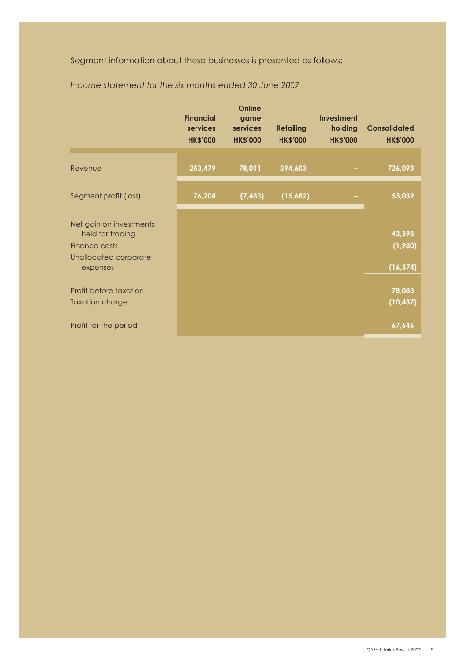Segment information about these businesses is presented as follows:

|                                                              | <b>Financial</b><br>services<br><b>HK\$'000</b> | game<br>services<br><b>HK\$'000</b> | <b>Retailing</b><br><b>HK\$'000</b> | <b>Investment</b><br>holding<br><b>HK\$'000</b> | <b>Consolidated</b><br><b>HK\$'000</b> |
|--------------------------------------------------------------|-------------------------------------------------|-------------------------------------|-------------------------------------|-------------------------------------------------|----------------------------------------|
| Revenue                                                      | 253,479                                         | 78,011                              | 394,603                             |                                                 | 726,093                                |
|                                                              |                                                 |                                     |                                     |                                                 |                                        |
| Segment profit (loss)                                        | 76,204                                          | (7, 483)                            | (15,682)                            |                                                 | 53,039                                 |
| Net gain on investments<br>held for trading<br>Finance costs |                                                 |                                     |                                     |                                                 | 43,398<br>(1,980)                      |
| Unallocated corporate<br>expenses                            |                                                 |                                     |                                     |                                                 | (16, 374)                              |
| Profit before taxation<br><b>Taxation charge</b>             |                                                 |                                     |                                     |                                                 | 78,083<br>(10, 437)                    |
| Profit for the period                                        |                                                 |                                     |                                     |                                                 | 67,646                                 |

 *Income statement for the six months ended 30 June 2007*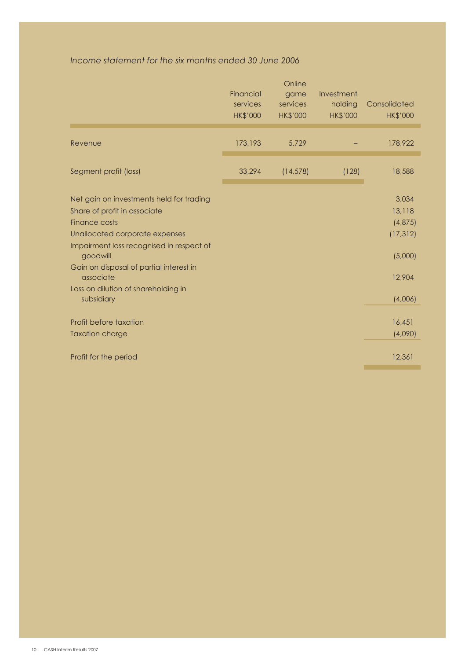## *Income statement for the six months ended 30 June 2006*

|                                                                                                                                                                                                                                                                                                  | Financial<br>services<br><b>HK\$'000</b> | Online<br>game<br>services<br><b>HK\$'000</b> | Investment<br>holding<br><b>HK\$'000</b> | Consolidated<br><b>HK\$'000</b>                                         |
|--------------------------------------------------------------------------------------------------------------------------------------------------------------------------------------------------------------------------------------------------------------------------------------------------|------------------------------------------|-----------------------------------------------|------------------------------------------|-------------------------------------------------------------------------|
| Revenue                                                                                                                                                                                                                                                                                          | 173,193                                  | 5,729                                         |                                          | 178,922                                                                 |
| Segment profit (loss)                                                                                                                                                                                                                                                                            | 33,294                                   | (14, 578)                                     | (128)                                    | 18,588                                                                  |
| Net gain on investments held for trading<br>Share of profit in associate<br>Finance costs<br>Unallocated corporate expenses<br>Impairment loss recognised in respect of<br>goodwill<br>Gain on disposal of partial interest in<br>associate<br>Loss on dilution of shareholding in<br>subsidiary |                                          |                                               |                                          | 3,034<br>13,118<br>(4,875)<br>(17, 312)<br>(5,000)<br>12,904<br>(4,006) |
| Profit before taxation<br><b>Taxation charge</b>                                                                                                                                                                                                                                                 |                                          |                                               |                                          | 16,451<br>(4,090)                                                       |
| Profit for the period                                                                                                                                                                                                                                                                            |                                          |                                               |                                          | 12,361                                                                  |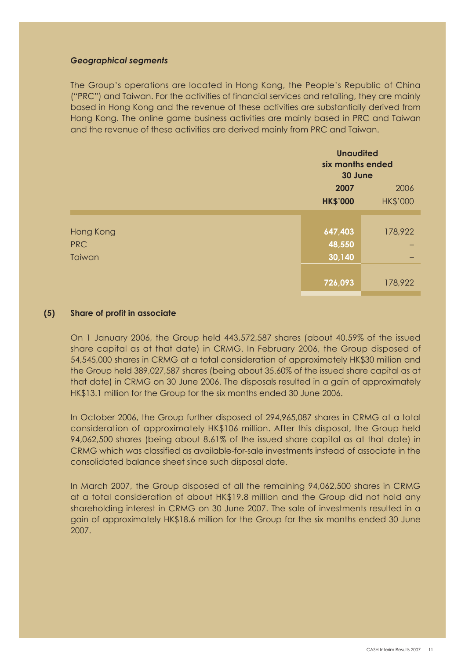### *Geographical segments*

The Group's operations are located in Hong Kong, the People's Republic of China ("PRC") and Taiwan. For the activities of financial services and retailing, they are mainly based in Hong Kong and the revenue of these activities are substantially derived from Hong Kong. The online game business activities are mainly based in PRC and Taiwan and the revenue of these activities are derived mainly from PRC and Taiwan.

|            |                 | <b>Unaudited</b><br>six months ended<br>30 June |  |  |
|------------|-----------------|-------------------------------------------------|--|--|
|            | 2007            | 2006                                            |  |  |
|            | <b>HK\$'000</b> | <b>HK\$'000</b>                                 |  |  |
|            |                 |                                                 |  |  |
| Hong Kong  | 647,403         | 178,922                                         |  |  |
| <b>PRC</b> | 48,550          |                                                 |  |  |
| Taiwan     | 30,140          |                                                 |  |  |
|            |                 |                                                 |  |  |
|            | 726,093         | 178,922                                         |  |  |

## **(5) Share of profit in associate**

On 1 January 2006, the Group held 443,572,587 shares (about 40.59% of the issued share capital as at that date) in CRMG. In February 2006, the Group disposed of 54,545,000 shares in CRMG at a total consideration of approximately HK\$30 million and the Group held 389,027,587 shares (being about 35.60% of the issued share capital as at that date) in CRMG on 30 June 2006. The disposals resulted in a gain of approximately HK\$13.1 million for the Group for the six months ended 30 June 2006.

In October 2006, the Group further disposed of 294,965,087 shares in CRMG at a total consideration of approximately HK\$106 million. After this disposal, the Group held 94,062,500 shares (being about 8.61% of the issued share capital as at that date) in CRMG which was classified as available-for-sale investments instead of associate in the consolidated balance sheet since such disposal date.

In March 2007, the Group disposed of all the remaining 94,062,500 shares in CRMG at a total consideration of about HK\$19.8 million and the Group did not hold any shareholding interest in CRMG on 30 June 2007. The sale of investments resulted in a gain of approximately HK\$18.6 million for the Group for the six months ended 30 June 2007.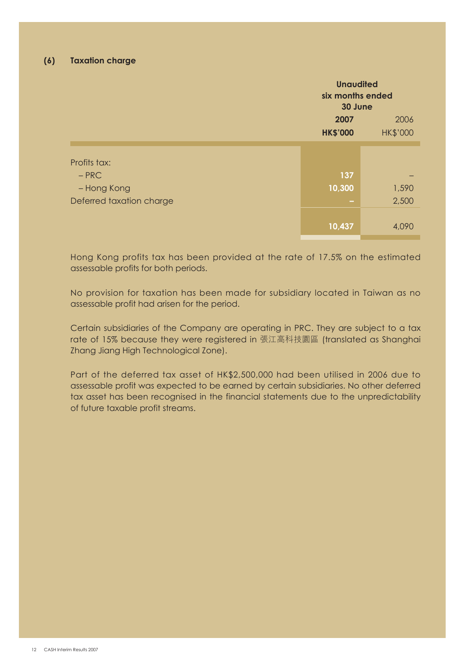|                                                                    | <b>Unaudited</b><br>six months ended<br>30 June    |                |
|--------------------------------------------------------------------|----------------------------------------------------|----------------|
|                                                                    | 2007<br>2006<br><b>HK\$'000</b><br><b>HK\$'000</b> |                |
| Profits tax:<br>$-$ PRC<br>- Hong Kong<br>Deferred taxation charge | 137<br>10,300<br>$\overline{\phantom{a}}$          | 1,590<br>2,500 |
|                                                                    | 10,437                                             | 4.090          |

Hong Kong profits tax has been provided at the rate of 17.5% on the estimated assessable profits for both periods.

No provision for taxation has been made for subsidiary located in Taiwan as no assessable profit had arisen for the period.

Certain subsidiaries of the Company are operating in PRC. They are subject to a tax rate of 15% because they were registered in 張江高科技園區 (translated as Shanghai Zhang Jiang High Technological Zone).

Part of the deferred tax asset of HK\$2,500,000 had been utilised in 2006 due to assessable profit was expected to be earned by certain subsidiaries. No other deferred tax asset has been recognised in the financial statements due to the unpredictability of future taxable profit streams.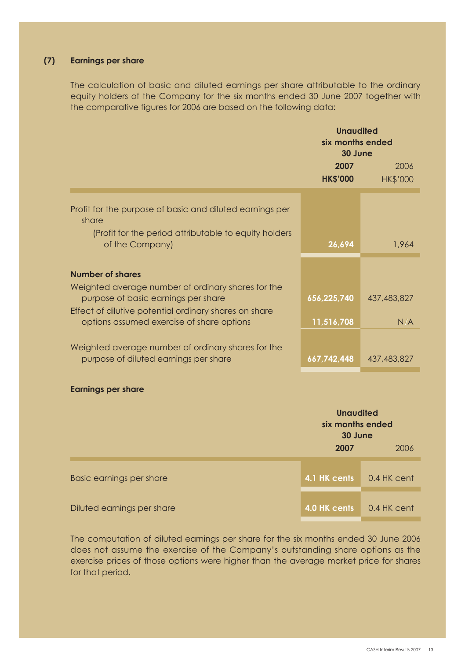## **(7) Earnings per share**

The calculation of basic and diluted earnings per share attributable to the ordinary equity holders of the Company for the six months ended 30 June 2007 together with the comparative figures for 2006 are based on the following data:

|                                                                                                    | <b>Unaudited</b><br>six months ended<br>30 June |                 |
|----------------------------------------------------------------------------------------------------|-------------------------------------------------|-----------------|
|                                                                                                    | 2007                                            | 2006            |
|                                                                                                    | <b>HK\$'000</b>                                 | <b>HK\$'000</b> |
| Profit for the purpose of basic and diluted earnings per<br>share                                  |                                                 |                 |
| (Profit for the period attributable to equity holders<br>of the Company)                           | 26,694                                          | 1,964           |
| Number of shares                                                                                   |                                                 |                 |
| Weighted average number of ordinary shares for the<br>purpose of basic earnings per share          | 656,225,740                                     | 437,483,827     |
| Effect of dilutive potential ordinary shares on share<br>options assumed exercise of share options | 11,516,708                                      | N/A             |
| Weighted average number of ordinary shares for the<br>purpose of diluted earnings per share        | 667,742,448                                     | 437,483,827     |

## **Earnings per share**

|                            | <b>Unaudited</b><br>six months ended<br>30 June<br>2006<br>2007 |               |  |
|----------------------------|-----------------------------------------------------------------|---------------|--|
| Basic earnings per share   | 4.1 HK cents                                                    | $0.4$ HK cent |  |
| Diluted earnings per share | 4.0 HK cents                                                    | $0.4$ HK cent |  |

The computation of diluted earnings per share for the six months ended 30 June 2006 does not assume the exercise of the Company's outstanding share options as the exercise prices of those options were higher than the average market price for shares for that period.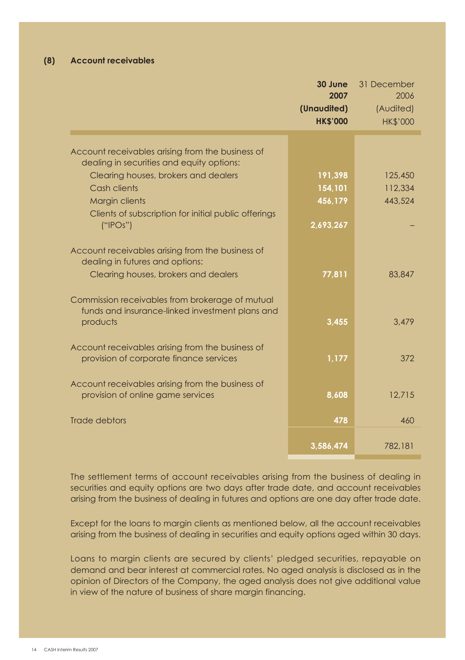## **(8) Account receivables**

|                                                                                                                | 30 June<br>2007<br>(Unaudited)<br><b>HK\$'000</b> | 31 December<br>2006<br>(Audited)<br><b>HK\$'000</b> |
|----------------------------------------------------------------------------------------------------------------|---------------------------------------------------|-----------------------------------------------------|
| Account receivables arising from the business of                                                               |                                                   |                                                     |
| dealing in securities and equity options:                                                                      |                                                   |                                                     |
| Clearing houses, brokers and dealers                                                                           | 191,398                                           | 125,450                                             |
| Cash clients                                                                                                   | 154,101                                           | 112,334                                             |
| <b>Margin clients</b>                                                                                          | 456,179                                           | 443,524                                             |
| Clients of subscription for initial public offerings<br>(''IPOs")                                              | 2,693,267                                         |                                                     |
| Account receivables arising from the business of<br>dealing in futures and options:                            |                                                   |                                                     |
| Clearing houses, brokers and dealers                                                                           | 77,811                                            | 83,847                                              |
| Commission receivables from brokerage of mutual<br>funds and insurance-linked investment plans and<br>products | 3.455                                             | 3.479                                               |
| Account receivables arising from the business of<br>provision of corporate finance services                    | 1,177                                             | 372                                                 |
| Account receivables arising from the business of<br>provision of online game services                          | 8,608                                             | 12,715                                              |
| <b>Trade debtors</b>                                                                                           | 478                                               | 460                                                 |
|                                                                                                                | 3,586,474                                         | 782,181                                             |

The settlement terms of account receivables arising from the business of dealing in securities and equity options are two days after trade date, and account receivables arising from the business of dealing in futures and options are one day after trade date.

Except for the loans to margin clients as mentioned below, all the account receivables arising from the business of dealing in securities and equity options aged within 30 days.

Loans to margin clients are secured by clients' pledged securities, repayable on demand and bear interest at commercial rates. No aged analysis is disclosed as in the opinion of Directors of the Company, the aged analysis does not give additional value in view of the nature of business of share margin financing.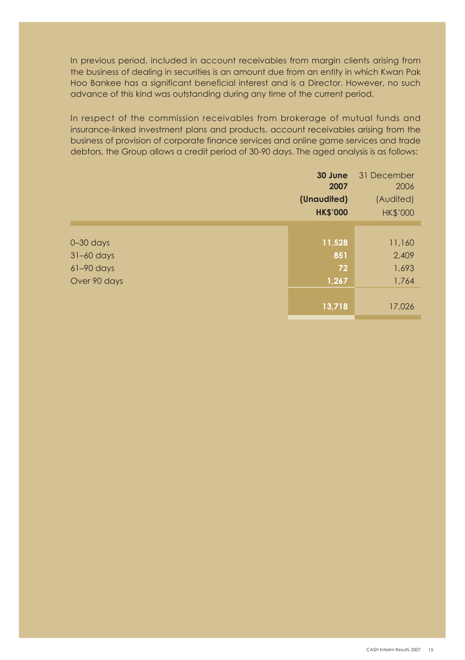In previous period, included in account receivables from margin clients arising from the business of dealing in securities is an amount due from an entity in which Kwan Pak Hoo Bankee has a significant beneficial interest and is a Director. However, no such advance of this kind was outstanding during any time of the current period.

In respect of the commission receivables from brokerage of mutual funds and insurance-linked investment plans and products, account receivables arising from the business of provision of corporate finance services and online game services and trade debtors, the Group allows a credit period of 30-90 days. The aged analysis is as follows:

|               | 30 June<br>2007<br>(Unaudited) | 31 December<br>2006<br>(Audited) |
|---------------|--------------------------------|----------------------------------|
|               | <b>HK\$'000</b>                | <b>HK\$'000</b>                  |
|               |                                |                                  |
| $0 - 30$ days | 11,528                         | 11,160                           |
| $31-60$ days  | 851                            | 2,409                            |
| $61-90$ days  | 72                             | 1,693                            |
| Over 90 days  | 1,267                          | 1,764                            |
|               | 13,718                         | 17,026                           |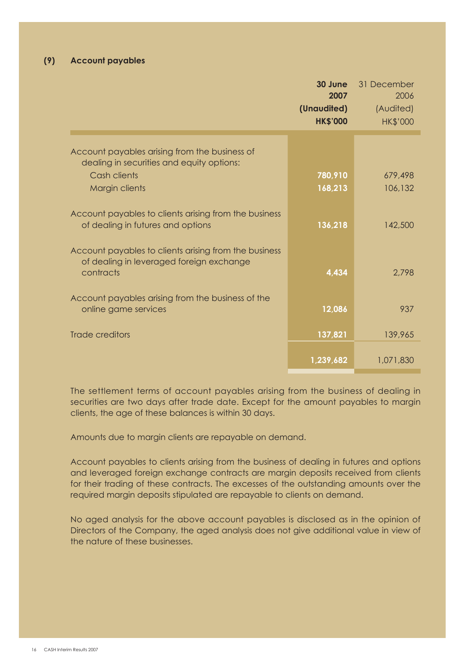|                                                                                                                | 30 June<br>2007 | 31 December<br>2006 |
|----------------------------------------------------------------------------------------------------------------|-----------------|---------------------|
|                                                                                                                | (Unaudited)     | (Audited)           |
|                                                                                                                | <b>HK\$'000</b> | <b>HK\$'000</b>     |
|                                                                                                                |                 |                     |
| Account payables arising from the business of<br>dealing in securities and equity options:                     |                 |                     |
| Cash clients                                                                                                   | 780,910         | 679,498             |
| Margin clients                                                                                                 | 168,213         | 106.132             |
| Account payables to clients arising from the business<br>of dealing in futures and options                     | 136,218         | 142,500             |
| Account payables to clients arising from the business<br>of dealing in leveraged foreign exchange<br>contracts | 4.434           | 2.798               |
| Account payables arising from the business of the<br>online game services                                      | 12,086          | 937                 |
| Trade creditors                                                                                                | 137,821         | 139,965             |
|                                                                                                                | 1,239,682       | 1.071.830           |

The settlement terms of account payables arising from the business of dealing in securities are two days after trade date. Except for the amount payables to margin clients, the age of these balances is within 30 days.

Amounts due to margin clients are repayable on demand.

Account payables to clients arising from the business of dealing in futures and options and leveraged foreign exchange contracts are margin deposits received from clients for their trading of these contracts. The excesses of the outstanding amounts over the required margin deposits stipulated are repayable to clients on demand.

No aged analysis for the above account payables is disclosed as in the opinion of Directors of the Company, the aged analysis does not give additional value in view of the nature of these businesses.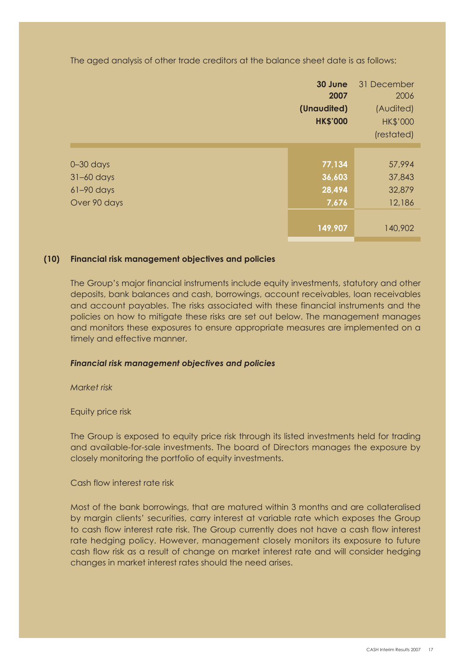The aged analysis of other trade creditors at the balance sheet date is as follows:

|               | 30 June<br>2007<br>(Unaudited)<br><b>HK\$'000</b> | 31 December<br>2006<br>(Audited)<br><b>HK\$'000</b><br>(restated) |
|---------------|---------------------------------------------------|-------------------------------------------------------------------|
|               |                                                   |                                                                   |
| $0 - 30$ days | 77,134                                            | 57,994                                                            |
| $31-60$ days  | 36,603                                            | 37,843                                                            |
| $61-90$ days  | 28,494                                            | 32,879                                                            |
| Over 90 days  | 7,676                                             | 12,186                                                            |
|               |                                                   |                                                                   |
|               | 149,907                                           | 140,902                                                           |

#### **(10) Financial risk management objectives and policies**

The Group's major financial instruments include equity investments, statutory and other deposits, bank balances and cash, borrowings, account receivables, loan receivables and account payables. The risks associated with these financial instruments and the policies on how to mitigate these risks are set out below. The management manages and monitors these exposures to ensure appropriate measures are implemented on a timely and effective manner.

#### *Financial risk management objectives and policies*

 *Market risk*

Equity price risk

The Group is exposed to equity price risk through its listed investments held for trading and available-for-sale investments. The board of Directors manages the exposure by closely monitoring the portfolio of equity investments.

Cash flow interest rate risk

Most of the bank borrowings, that are matured within 3 months and are collateralised by margin clients' securities, carry interest at variable rate which exposes the Group to cash flow interest rate risk. The Group currently does not have a cash flow interest rate hedging policy. However, management closely monitors its exposure to future cash flow risk as a result of change on market interest rate and will consider hedging changes in market interest rates should the need arises.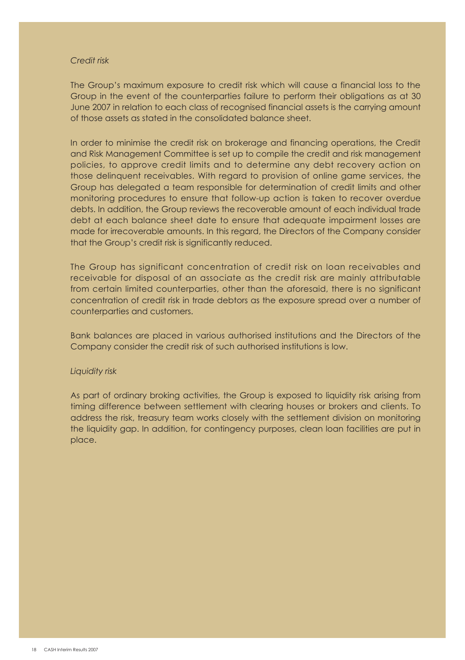#### *Credit risk*

The Group's maximum exposure to credit risk which will cause a financial loss to the Group in the event of the counterparties failure to perform their obligations as at 30 June 2007 in relation to each class of recognised financial assets is the carrying amount of those assets as stated in the consolidated balance sheet.

In order to minimise the credit risk on brokerage and financing operations, the Credit and Risk Management Committee is set up to compile the credit and risk management policies, to approve credit limits and to determine any debt recovery action on those delinquent receivables. With regard to provision of online game services, the Group has delegated a team responsible for determination of credit limits and other monitoring procedures to ensure that follow-up action is taken to recover overdue debts. In addition, the Group reviews the recoverable amount of each individual trade debt at each balance sheet date to ensure that adequate impairment losses are made for irrecoverable amounts. In this regard, the Directors of the Company consider that the Group's credit risk is significantly reduced.

The Group has significant concentration of credit risk on loan receivables and receivable for disposal of an associate as the credit risk are mainly attributable from certain limited counterparties, other than the aforesaid, there is no significant concentration of credit risk in trade debtors as the exposure spread over a number of counterparties and customers.

Bank balances are placed in various authorised institutions and the Directors of the Company consider the credit risk of such authorised institutions is low.

#### *Liquidity risk*

As part of ordinary broking activities, the Group is exposed to liquidity risk arising from timing difference between settlement with clearing houses or brokers and clients. To address the risk, treasury team works closely with the settlement division on monitoring the liquidity gap. In addition, for contingency purposes, clean loan facilities are put in place.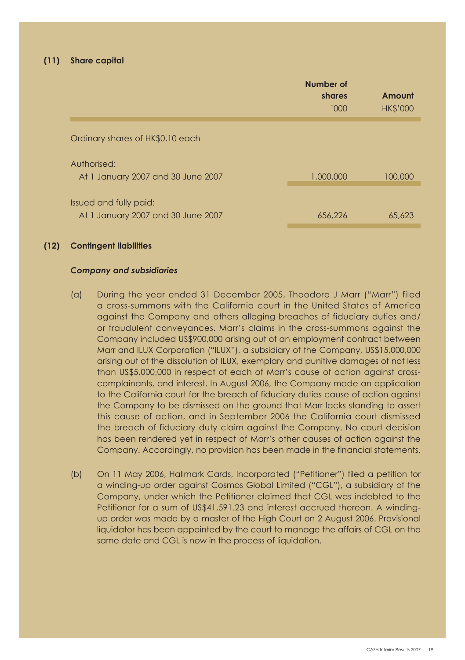|                                                              | Number of<br>shares<br>'000' | Amount<br><b>HK\$'000</b> |
|--------------------------------------------------------------|------------------------------|---------------------------|
| Ordinary shares of HK\$0.10 each                             |                              |                           |
| Authorised:<br>At 1 January 2007 and 30 June 2007            | 1,000,000                    | 100,000                   |
| Issued and fully paid:<br>At 1 January 2007 and 30 June 2007 | 656.226                      | 65,623                    |

#### **(12) Contingent liabilities**

#### *Company and subsidiaries*

- (a) During the year ended 31 December 2005, Theodore J Marr ("Marr") filed a cross-summons with the California court in the United States of America against the Company and others alleging breaches of fiduciary duties and/ or fraudulent conveyances. Marr's claims in the cross-summons against the Company included US\$900,000 arising out of an employment contract between Marr and ILUX Corporation ("ILUX"), a subsidiary of the Company, US\$15,000,000 arising out of the dissolution of ILUX, exemplary and punitive damages of not less than US\$5,000,000 in respect of each of Marr's cause of action against crosscomplainants, and interest. In August 2006, the Company made an application to the California court for the breach of fiduciary duties cause of action against the Company to be dismissed on the ground that Marr lacks standing to assert this cause of action, and in September 2006 the California court dismissed the breach of fiduciary duty claim against the Company. No court decision has been rendered yet in respect of Marr's other causes of action against the Company. Accordingly, no provision has been made in the financial statements.
- (b) On 11 May 2006, Hallmark Cards, Incorporated ("Petitioner") filed a petition for a winding-up order against Cosmos Global Limited ("CGL"), a subsidiary of the Company, under which the Petitioner claimed that CGL was indebted to the Petitioner for a sum of US\$41,591.23 and interest accrued thereon. A windingup order was made by a master of the High Court on 2 August 2006. Provisional liquidator has been appointed by the court to manage the affairs of CGL on the same date and CGL is now in the process of liquidation.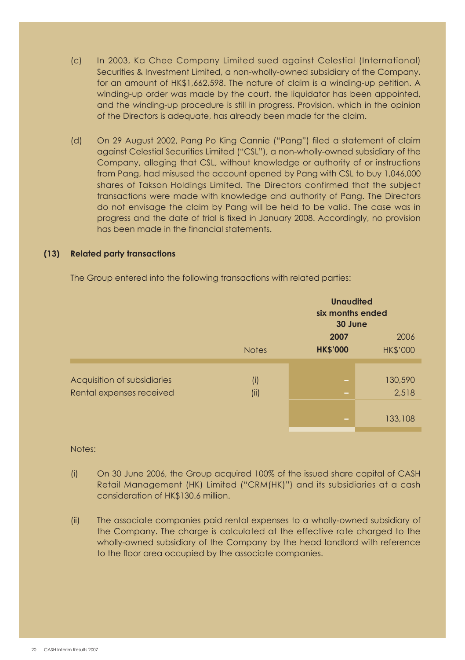- (c) In 2003, Ka Chee Company Limited sued against Celestial (International) Securities & Investment Limited, a non-wholly-owned subsidiary of the Company, for an amount of HK\$1,662,598. The nature of claim is a winding-up petition. A winding-up order was made by the court, the liquidator has been appointed, and the winding-up procedure is still in progress. Provision, which in the opinion of the Directors is adequate, has already been made for the claim.
- (d) On 29 August 2002, Pang Po King Cannie ("Pang") filed a statement of claim against Celestial Securities Limited ("CSL"), a non-wholly-owned subsidiary of the Company, alleging that CSL, without knowledge or authority of or instructions from Pang, had misused the account opened by Pang with CSL to buy 1,046,000 shares of Takson Holdings Limited. The Directors confirmed that the subject transactions were made with knowledge and authority of Pang. The Directors do not envisage the claim by Pang will be held to be valid. The case was in progress and the date of trial is fixed in January 2008. Accordingly, no provision has been made in the financial statements.

#### **(13) Related party transactions**

The Group entered into the following transactions with related parties:

|                                                         |              | <b>Unaudited</b><br>six months ended<br>30 June |                         |  |
|---------------------------------------------------------|--------------|-------------------------------------------------|-------------------------|--|
|                                                         | <b>Notes</b> | 2007<br><b>HK\$'000</b>                         | 2006<br><b>HK\$'000</b> |  |
| Acquisition of subsidiaries<br>Rental expenses received | (i)<br>(ii)  | $\sim$<br>٠                                     | 130,590<br>2,518        |  |
|                                                         |              | -                                               | 133,108                 |  |

## Notes:

- (i) On 30 June 2006, the Group acquired 100% of the issued share capital of CASH Retail Management (HK) Limited ("CRM(HK)") and its subsidiaries at a cash consideration of HK\$130.6 million.
- (ii) The associate companies paid rental expenses to a wholly-owned subsidiary of the Company. The charge is calculated at the effective rate charged to the wholly-owned subsidiary of the Company by the head landlord with reference to the floor area occupied by the associate companies.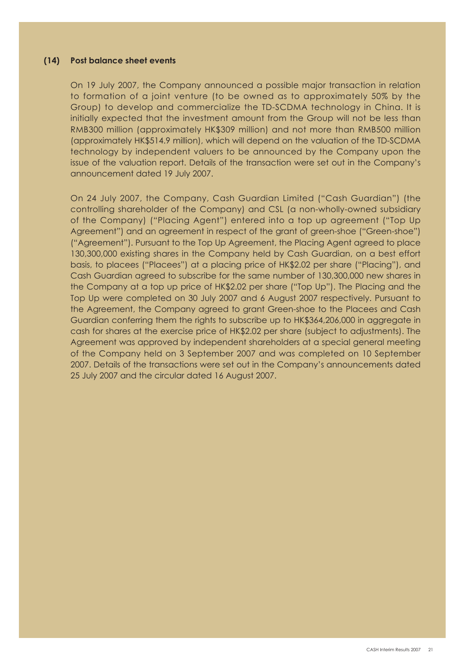#### **(14) Post balance sheet events**

On 19 July 2007, the Company announced a possible major transaction in relation to formation of a joint venture (to be owned as to approximately 50% by the Group) to develop and commercialize the TD-SCDMA technology in China. It is initially expected that the investment amount from the Group will not be less than RMB300 million (approximately HK\$309 million) and not more than RMB500 million (approximately HK\$514.9 million), which will depend on the valuation of the TD-SCDMA technology by independent valuers to be announced by the Company upon the issue of the valuation report. Details of the transaction were set out in the Company's announcement dated 19 July 2007.

On 24 July 2007, the Company, Cash Guardian Limited ("Cash Guardian") (the controlling shareholder of the Company) and CSL (a non-wholly-owned subsidiary of the Company) ("Placing Agent") entered into a top up agreement ("Top Up Agreement") and an agreement in respect of the grant of green-shoe ("Green-shoe") ("Agreement"). Pursuant to the Top Up Agreement, the Placing Agent agreed to place 130,300,000 existing shares in the Company held by Cash Guardian, on a best effort basis, to placees ("Placees") at a placing price of HK\$2.02 per share ("Placing"), and Cash Guardian agreed to subscribe for the same number of 130,300,000 new shares in the Company at a top up price of HK\$2.02 per share ("Top Up"). The Placing and the Top Up were completed on 30 July 2007 and 6 August 2007 respectively. Pursuant to the Agreement, the Company agreed to grant Green-shoe to the Placees and Cash Guardian conferring them the rights to subscribe up to HK\$364,206,000 in aggregate in cash for shares at the exercise price of HK\$2.02 per share (subject to adjustments). The Agreement was approved by independent shareholders at a special general meeting of the Company held on 3 September 2007 and was completed on 10 September 2007. Details of the transactions were set out in the Company's announcements dated 25 July 2007 and the circular dated 16 August 2007.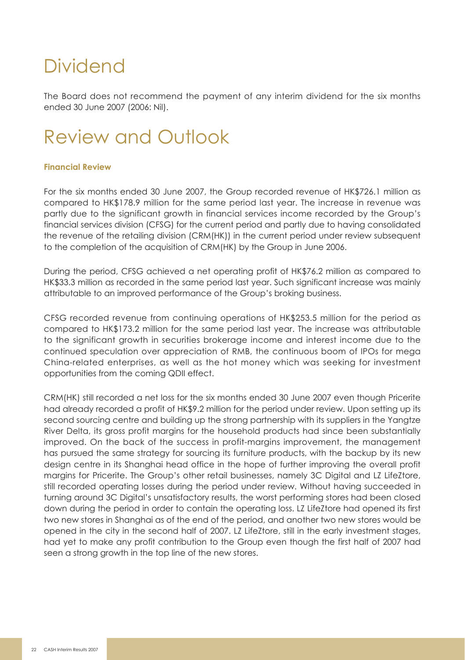## Dividend

The Board does not recommend the payment of any interim dividend for the six months ended 30 June 2007 (2006: Nil).

# Review and Outlook

## **Financial Review**

For the six months ended 30 June 2007, the Group recorded revenue of HK\$726.1 million as compared to HK\$178.9 million for the same period last year. The increase in revenue was partly due to the significant growth in financial services income recorded by the Group's financial services division (CFSG) for the current period and partly due to having consolidated the revenue of the retailing division (CRM(HK)) in the current period under review subsequent to the completion of the acquisition of CRM(HK) by the Group in June 2006.

During the period, CFSG achieved a net operating profit of HK\$76.2 million as compared to HK\$33.3 million as recorded in the same period last year. Such significant increase was mainly attributable to an improved performance of the Group's broking business.

CFSG recorded revenue from continuing operations of HK\$253.5 million for the period as compared to HK\$173.2 million for the same period last year. The increase was attributable to the significant growth in securities brokerage income and interest income due to the continued speculation over appreciation of RMB, the continuous boom of IPOs for mega China-related enterprises, as well as the hot money which was seeking for investment opportunities from the coming QDII effect.

CRM(HK) still recorded a net loss for the six months ended 30 June 2007 even though Pricerite had already recorded a profit of HK\$9.2 million for the period under review. Upon setting up its second sourcing centre and building up the strong partnership with its suppliers in the Yangtze River Delta, its gross profit margins for the household products had since been substantially improved. On the back of the success in profit-margins improvement, the management has pursued the same strategy for sourcing its furniture products, with the backup by its new design centre in its Shanghai head office in the hope of further improving the overall profit margins for Pricerite. The Group's other retail businesses, namely 3C Digital and LZ LifeZtore, still recorded operating losses during the period under review. Without having succeeded in turning around 3C Digital's unsatisfactory results, the worst performing stores had been closed down during the period in order to contain the operating loss. LZ LifeZtore had opened its first two new stores in Shanghai as of the end of the period, and another two new stores would be opened in the city in the second half of 2007. LZ LifeZtore, still in the early investment stages, had yet to make any profit contribution to the Group even though the first half of 2007 had seen a strong growth in the top line of the new stores.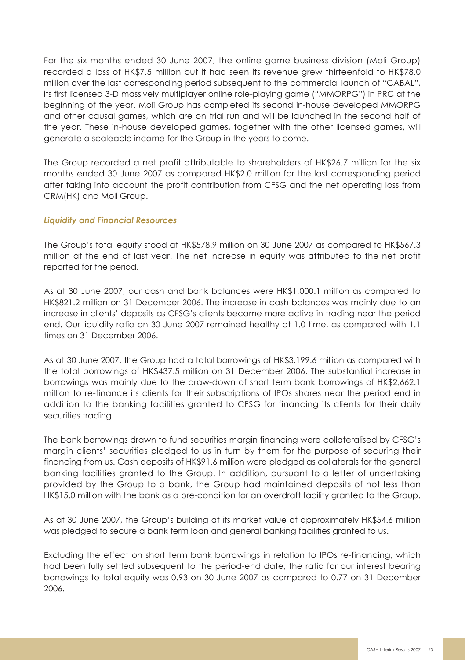For the six months ended 30 June 2007, the online game business division (Moli Group) recorded a loss of HK\$7.5 million but it had seen its revenue grew thirteenfold to HK\$78.0 million over the last corresponding period subsequent to the commercial launch of "CABAL", its first licensed 3-D massively multiplayer online role-playing game ("MMORPG") in PRC at the beginning of the year. Moli Group has completed its second in-house developed MMORPG and other causal games, which are on trial run and will be launched in the second half of the year. These in-house developed games, together with the other licensed games, will generate a scaleable income for the Group in the years to come.

The Group recorded a net profit attributable to shareholders of HK\$26.7 million for the six months ended 30 June 2007 as compared HK\$2.0 million for the last corresponding period after taking into account the profit contribution from CFSG and the net operating loss from CRM(HK) and Moli Group.

## *Liquidity and Financial Resources*

The Group's total equity stood at HK\$578.9 million on 30 June 2007 as compared to HK\$567.3 million at the end of last year. The net increase in equity was attributed to the net profit reported for the period.

As at 30 June 2007, our cash and bank balances were HK\$1,000.1 million as compared to HK\$821.2 million on 31 December 2006. The increase in cash balances was mainly due to an increase in clients' deposits as CFSG's clients became more active in trading near the period end. Our liquidity ratio on 30 June 2007 remained healthy at 1.0 time, as compared with 1.1 times on 31 December 2006.

As at 30 June 2007, the Group had a total borrowings of HK\$3,199.6 million as compared with the total borrowings of HK\$437.5 million on 31 December 2006. The substantial increase in borrowings was mainly due to the draw-down of short term bank borrowings of HK\$2,662.1 million to re-finance its clients for their subscriptions of IPOs shares near the period end in addition to the banking facilities granted to CFSG for financing its clients for their daily securities trading.

The bank borrowings drawn to fund securities margin financing were collateralised by CFSG's margin clients' securities pledged to us in turn by them for the purpose of securing their financing from us. Cash deposits of HK\$91.6 million were pledged as collaterals for the general banking facilities granted to the Group. In addition, pursuant to a letter of undertaking provided by the Group to a bank, the Group had maintained deposits of not less than HK\$15.0 million with the bank as a pre-condition for an overdraft facility granted to the Group.

As at 30 June 2007, the Group's building at its market value of approximately HK\$54.6 million was pledged to secure a bank term loan and general banking facilities granted to us.

Excluding the effect on short term bank borrowings in relation to IPOs re-financing, which had been fully settled subsequent to the period-end date, the ratio for our interest bearing borrowings to total equity was 0.93 on 30 June 2007 as compared to 0.77 on 31 December 2006.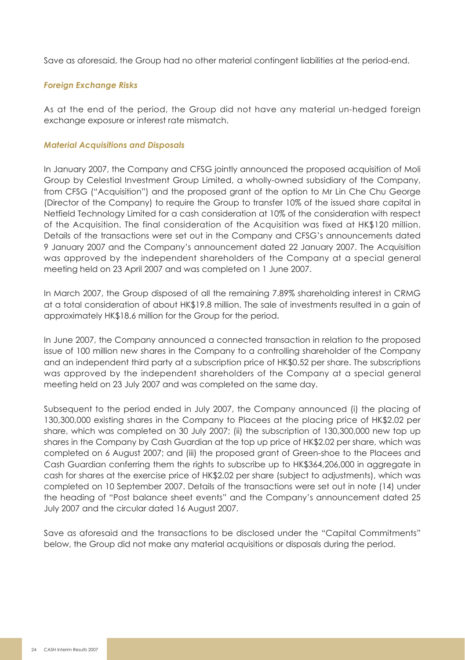Save as aforesaid, the Group had no other material contingent liabilities at the period-end.

## *Foreign Exchange Risks*

As at the end of the period, the Group did not have any material un-hedged foreign exchange exposure or interest rate mismatch.

## *Material Acquisitions and Disposals*

In January 2007, the Company and CFSG jointly announced the proposed acquisition of Moli Group by Celestial Investment Group Limited, a wholly-owned subsidiary of the Company, from CFSG ("Acquisition") and the proposed grant of the option to Mr Lin Che Chu George (Director of the Company) to require the Group to transfer 10% of the issued share capital in Netfield Technology Limited for a cash consideration at 10% of the consideration with respect of the Acquisition. The final consideration of the Acquisition was fixed at HK\$120 million. Details of the transactions were set out in the Company and CFSG's announcements dated 9 January 2007 and the Company's announcement dated 22 January 2007. The Acquisition was approved by the independent shareholders of the Company at a special general meeting held on 23 April 2007 and was completed on 1 June 2007.

In March 2007, the Group disposed of all the remaining 7.89% shareholding interest in CRMG at a total consideration of about HK\$19.8 million. The sale of investments resulted in a gain of approximately HK\$18.6 million for the Group for the period.

In June 2007, the Company announced a connected transaction in relation to the proposed issue of 100 million new shares in the Company to a controlling shareholder of the Company and an independent third party at a subscription price of HK\$0.52 per share. The subscriptions was approved by the independent shareholders of the Company at a special general meeting held on 23 July 2007 and was completed on the same day.

Subsequent to the period ended in July 2007, the Company announced (i) the placing of 130,300,000 existing shares in the Company to Placees at the placing price of HK\$2.02 per share, which was completed on 30 July 2007; (ii) the subscription of 130,300,000 new top up shares in the Company by Cash Guardian at the top up price of HK\$2.02 per share, which was completed on 6 August 2007; and (iii) the proposed grant of Green-shoe to the Placees and Cash Guardian conferring them the rights to subscribe up to HK\$364,206,000 in aggregate in cash for shares at the exercise price of HK\$2.02 per share (subject to adjustments), which was completed on 10 September 2007. Details of the transactions were set out in note (14) under the heading of "Post balance sheet events" and the Company's announcement dated 25 July 2007 and the circular dated 16 August 2007.

Save as aforesaid and the transactions to be disclosed under the "Capital Commitments" below, the Group did not make any material acquisitions or disposals during the period.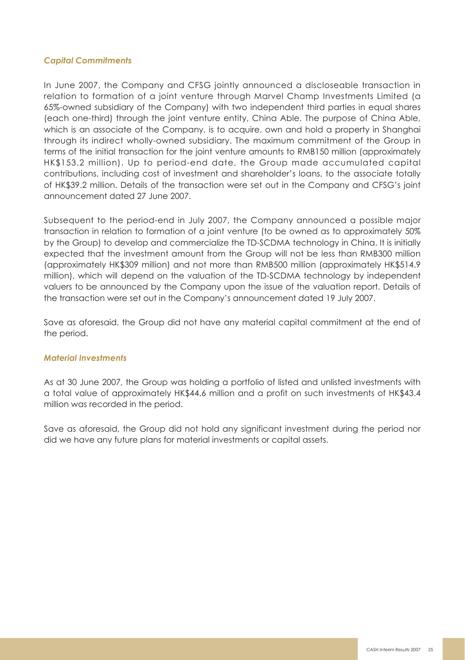### *Capital Commitments*

In June 2007, the Company and CFSG jointly announced a discloseable transaction in relation to formation of a joint venture through Marvel Champ Investments Limited (a 65%-owned subsidiary of the Company) with two independent third parties in equal shares (each one-third) through the joint venture entity, China Able. The purpose of China Able, which is an associate of the Company, is to acquire, own and hold a property in Shanghai through its indirect wholly-owned subsidiary. The maximum commitment of the Group in terms of the initial transaction for the joint venture amounts to RMB150 million (approximately HK\$153.2 million). Up to period-end date, the Group made accumulated capital contributions, including cost of investment and shareholder's loans, to the associate totally of HK\$39.2 million. Details of the transaction were set out in the Company and CFSG's joint announcement dated 27 June 2007.

Subsequent to the period-end in July 2007, the Company announced a possible major transaction in relation to formation of a joint venture (to be owned as to approximately 50% by the Group) to develop and commercialize the TD-SCDMA technology in China. It is initially expected that the investment amount from the Group will not be less than RMB300 million (approximately HK\$309 million) and not more than RMB500 million (approximately HK\$514.9 million), which will depend on the valuation of the TD-SCDMA technology by independent valuers to be announced by the Company upon the issue of the valuation report. Details of the transaction were set out in the Company's announcement dated 19 July 2007.

Save as aforesaid, the Group did not have any material capital commitment at the end of the period.

#### *Material Investments*

As at 30 June 2007, the Group was holding a portfolio of listed and unlisted investments with a total value of approximately HK\$44.6 million and a profit on such investments of HK\$43.4 million was recorded in the period.

Save as aforesaid, the Group did not hold any significant investment during the period nor did we have any future plans for material investments or capital assets.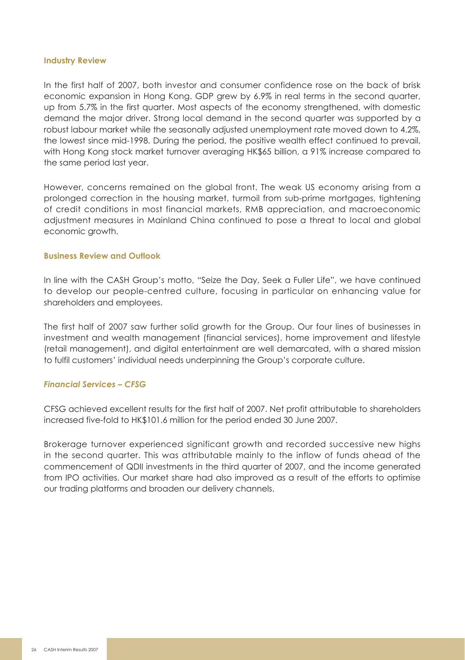#### **Industry Review**

In the first half of 2007, both investor and consumer confidence rose on the back of brisk economic expansion in Hong Kong. GDP grew by 6.9% in real terms in the second quarter, up from 5.7% in the first quarter. Most aspects of the economy strengthened, with domestic demand the major driver. Strong local demand in the second quarter was supported by a robust labour market while the seasonally adjusted unemployment rate moved down to 4.2%, the lowest since mid-1998. During the period, the positive wealth effect continued to prevail, with Hong Kong stock market turnover averaging HK\$65 billion, a 91% increase compared to the same period last year.

However, concerns remained on the global front. The weak US economy arising from a prolonged correction in the housing market, turmoil from sub-prime mortgages, tightening of credit conditions in most financial markets, RMB appreciation, and macroeconomic adjustment measures in Mainland China continued to pose a threat to local and global economic growth.

#### **Business Review and Outlook**

In line with the CASH Group's motto, "Seize the Day, Seek a Fuller Life", we have continued to develop our people-centred culture, focusing in particular on enhancing value for shareholders and employees.

The first half of 2007 saw further solid growth for the Group. Our four lines of businesses in investment and wealth management (financial services), home improvement and lifestyle (retail management), and digital entertainment are well demarcated, with a shared mission to fulfil customers' individual needs underpinning the Group's corporate culture.

## *Financial Services – CFSG*

CFSG achieved excellent results for the first half of 2007. Net profit attributable to shareholders increased five-fold to HK\$101.6 million for the period ended 30 June 2007.

Brokerage turnover experienced significant growth and recorded successive new highs in the second quarter. This was attributable mainly to the inflow of funds ahead of the commencement of QDII investments in the third quarter of 2007, and the income generated from IPO activities. Our market share had also improved as a result of the efforts to optimise our trading platforms and broaden our delivery channels.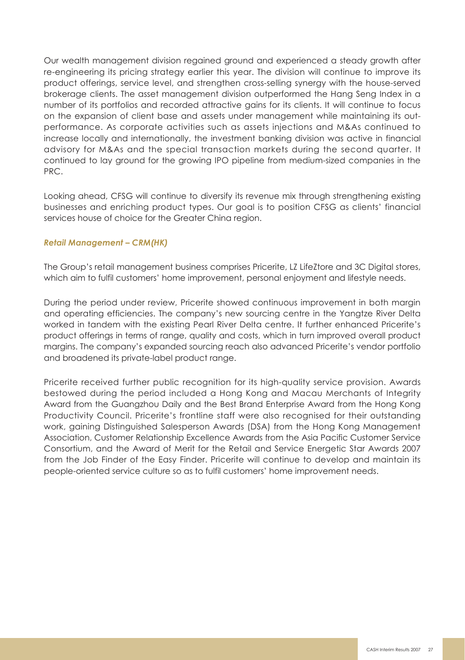Our wealth management division regained ground and experienced a steady growth after re-engineering its pricing strategy earlier this year. The division will continue to improve its product offerings, service level, and strengthen cross-selling synergy with the house-served brokerage clients. The asset management division outperformed the Hang Seng Index in a number of its portfolios and recorded attractive gains for its clients. It will continue to focus on the expansion of client base and assets under management while maintaining its outperformance. As corporate activities such as assets injections and M&As continued to increase locally and internationally, the investment banking division was active in financial advisory for M&As and the special transaction markets during the second quarter. It continued to lay ground for the growing IPO pipeline from medium-sized companies in the PRC.

Looking ahead, CFSG will continue to diversify its revenue mix through strengthening existing businesses and enriching product types. Our goal is to position CFSG as clients' financial services house of choice for the Greater China region.

## *Retail Management – CRM(HK)*

The Group's retail management business comprises Pricerite, LZ LifeZtore and 3C Digital stores, which aim to fulfil customers' home improvement, personal enjoyment and lifestyle needs.

During the period under review, Pricerite showed continuous improvement in both margin and operating efficiencies. The company's new sourcing centre in the Yangtze River Delta worked in tandem with the existing Pearl River Delta centre. It further enhanced Pricerite's product offerings in terms of range, quality and costs, which in turn improved overall product margins. The company's expanded sourcing reach also advanced Pricerite's vendor portfolio and broadened its private-label product range.

Pricerite received further public recognition for its high-quality service provision. Awards bestowed during the period included a Hong Kong and Macau Merchants of Integrity Award from the Guangzhou Daily and the Best Brand Enterprise Award from the Hong Kong Productivity Council. Pricerite's frontline staff were also recognised for their outstanding work, gaining Distinguished Salesperson Awards (DSA) from the Hong Kong Management Association, Customer Relationship Excellence Awards from the Asia Pacific Customer Service Consortium, and the Award of Merit for the Retail and Service Energetic Star Awards 2007 from the Job Finder of the Easy Finder. Pricerite will continue to develop and maintain its people-oriented service culture so as to fulfil customers' home improvement needs.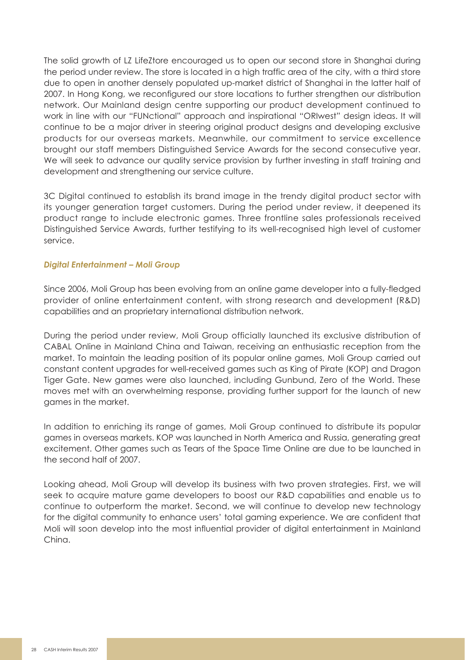The solid growth of LZ LifeZtore encouraged us to open our second store in Shanghai during the period under review. The store is located in a high traffic area of the city, with a third store due to open in another densely populated up-market district of Shanghai in the latter half of 2007. In Hong Kong, we reconfigured our store locations to further strengthen our distribution network. Our Mainland design centre supporting our product development continued to work in line with our "FUNctional" approach and inspirational "ORIwest" design ideas. It will continue to be a major driver in steering original product designs and developing exclusive products for our overseas markets. Meanwhile, our commitment to service excellence brought our staff members Distinguished Service Awards for the second consecutive year. We will seek to advance our quality service provision by further investing in staff training and development and strengthening our service culture.

3C Digital continued to establish its brand image in the trendy digital product sector with its younger generation target customers. During the period under review, it deepened its product range to include electronic games. Three frontline sales professionals received Distinguished Service Awards, further testifying to its well-recognised high level of customer service.

## *Digital Entertainment – Moli Group*

Since 2006, Moli Group has been evolving from an online game developer into a fully-fledged provider of online entertainment content, with strong research and development (R&D) capabilities and an proprietary international distribution network.

During the period under review, Moli Group officially launched its exclusive distribution of CABAL Online in Mainland China and Taiwan, receiving an enthusiastic reception from the market. To maintain the leading position of its popular online games, Moli Group carried out constant content upgrades for well-received games such as King of Pirate (KOP) and Dragon Tiger Gate. New games were also launched, including Gunbund, Zero of the World. These moves met with an overwhelming response, providing further support for the launch of new games in the market.

In addition to enriching its range of games, Moli Group continued to distribute its popular games in overseas markets. KOP was launched in North America and Russia, generating great excitement. Other games such as Tears of the Space Time Online are due to be launched in the second half of 2007.

Looking ahead, Moli Group will develop its business with two proven strategies. First, we will seek to acquire mature game developers to boost our R&D capabilities and enable us to continue to outperform the market. Second, we will continue to develop new technology for the digital community to enhance users' total gaming experience. We are confident that Moli will soon develop into the most influential provider of digital entertainment in Mainland China.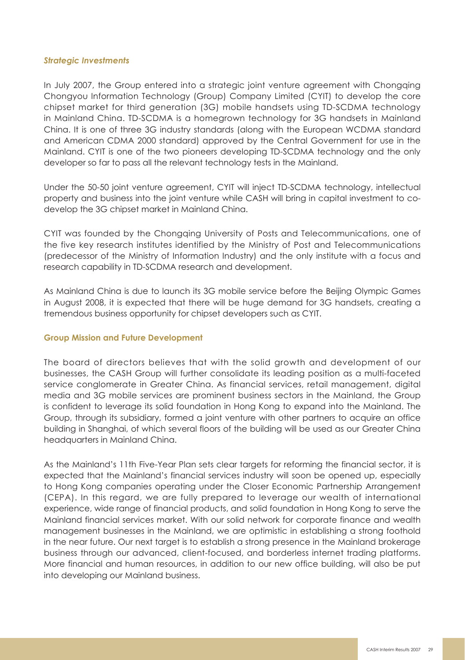#### *Strategic Investments*

In July 2007, the Group entered into a strategic joint venture agreement with Chongqing Chongyou Information Technology (Group) Company Limited (CYIT) to develop the core chipset market for third generation (3G) mobile handsets using TD-SCDMA technology in Mainland China. TD-SCDMA is a homegrown technology for 3G handsets in Mainland China. It is one of three 3G industry standards (along with the European WCDMA standard and American CDMA 2000 standard) approved by the Central Government for use in the Mainland. CYIT is one of the two pioneers developing TD-SCDMA technology and the only developer so far to pass all the relevant technology tests in the Mainland.

Under the 50-50 joint venture agreement, CYIT will inject TD-SCDMA technology, intellectual property and business into the joint venture while CASH will bring in capital investment to codevelop the 3G chipset market in Mainland China.

CYIT was founded by the Chongqing University of Posts and Telecommunications, one of the five key research institutes identified by the Ministry of Post and Telecommunications (predecessor of the Ministry of Information Industry) and the only institute with a focus and research capability in TD-SCDMA research and development.

As Mainland China is due to launch its 3G mobile service before the Beijing Olympic Games in August 2008, it is expected that there will be huge demand for 3G handsets, creating a tremendous business opportunity for chipset developers such as CYIT.

#### **Group Mission and Future Development**

The board of directors believes that with the solid growth and development of our businesses, the CASH Group will further consolidate its leading position as a multi-faceted service conglomerate in Greater China. As financial services, retail management, digital media and 3G mobile services are prominent business sectors in the Mainland, the Group is confident to leverage its solid foundation in Hong Kong to expand into the Mainland. The Group, through its subsidiary, formed a joint venture with other partners to acquire an office building in Shanghai, of which several floors of the building will be used as our Greater China headquarters in Mainland China.

As the Mainland's 11th Five-Year Plan sets clear targets for reforming the financial sector, it is expected that the Mainland's financial services industry will soon be opened up, especially to Hong Kong companies operating under the Closer Economic Partnership Arrangement (CEPA). In this regard, we are fully prepared to leverage our wealth of international experience, wide range of financial products, and solid foundation in Hong Kong to serve the Mainland financial services market. With our solid network for corporate finance and wealth management businesses in the Mainland, we are optimistic in establishing a strong foothold in the near future. Our next target is to establish a strong presence in the Mainland brokerage business through our advanced, client-focused, and borderless internet trading platforms. More financial and human resources, in addition to our new office building, will also be put into developing our Mainland business.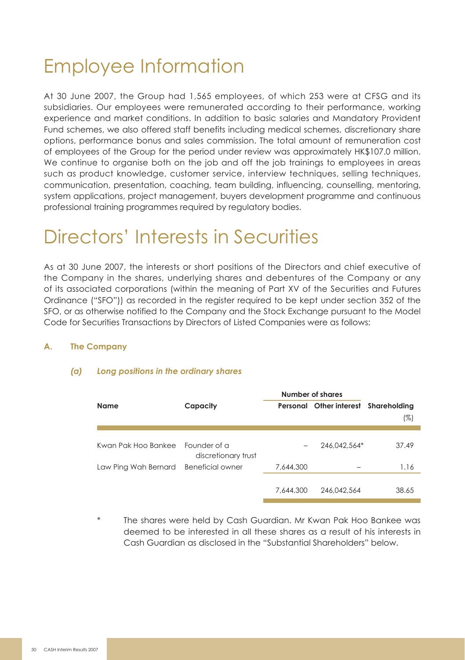# Employee Information

At 30 June 2007, the Group had 1,565 employees, of which 253 were at CFSG and its subsidiaries. Our employees were remunerated according to their performance, working experience and market conditions. In addition to basic salaries and Mandatory Provident Fund schemes, we also offered staff benefits including medical schemes, discretionary share options, performance bonus and sales commission. The total amount of remuneration cost of employees of the Group for the period under review was approximately HK\$107.0 million. We continue to organise both on the job and off the job trainings to employees in greas such as product knowledge, customer service, interview techniques, selling techniques, communication, presentation, coaching, team building, influencing, counselling, mentoring, system applications, project management, buyers development programme and continuous professional training programmes required by regulatory bodies.

## Directors' Interests in Securities

As at 30 June 2007, the interests or short positions of the Directors and chief executive of the Company in the shares, underlying shares and debentures of the Company or any of its associated corporations (within the meaning of Part XV of the Securities and Futures Ordinance ("SFO")) as recorded in the register required to be kept under section 352 of the SFO, or as otherwise notified to the Company and the Stock Exchange pursuant to the Model Code for Securities Transactions by Directors of Listed Companies were as follows:

## **A. The Company**

## *(a) Long positions in the ordinary shares*

|                      |                                     | Number of shares |                         |                     |
|----------------------|-------------------------------------|------------------|-------------------------|---------------------|
| Name                 | Capacity                            |                  | Personal Other interest | Shareholding<br>(%) |
|                      |                                     |                  |                         |                     |
| Kwan Pak Hoo Bankee  | Founder of a<br>discretionary trust |                  | 246.042.564*            | 37.49               |
| Law Ping Wah Bernard | Beneficial owner                    | 7.644.300        |                         | 1.16                |
|                      |                                     |                  |                         |                     |
|                      |                                     | 7.644.300        | 246.042.564             | 38.65               |
|                      |                                     |                  |                         |                     |

The shares were held by Cash Guardian. Mr Kwan Pak Hoo Bankee was deemed to be interested in all these shares as a result of his interests in Cash Guardian as disclosed in the "Substantial Shareholders" below.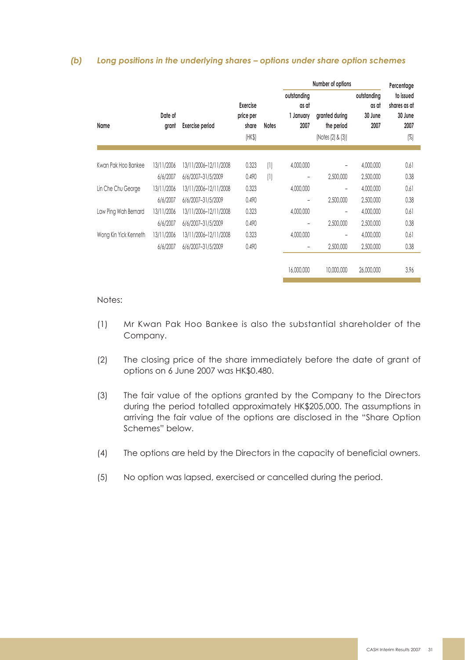## *(b) Long positions in the underlying shares – options under share option schemes*

|                       |                  |                        |                                |                  | Number of options                         |                              |                                         | Percentage                                   |
|-----------------------|------------------|------------------------|--------------------------------|------------------|-------------------------------------------|------------------------------|-----------------------------------------|----------------------------------------------|
| Name                  | Date of<br>grant | <b>Exercise period</b> | Exercise<br>price per<br>share | <b>Notes</b>     | outstanding<br>as at<br>1 January<br>2007 | granted during<br>the period | outstandina<br>as at<br>30 June<br>2007 | to issued<br>shares as at<br>30 June<br>2007 |
|                       |                  |                        | (HK\$)                         |                  |                                           | (Notes (2) & (3))            |                                         | $\left[\frac{\%}{\%}\right]$                 |
|                       |                  |                        |                                |                  |                                           |                              |                                         |                                              |
| Kwan Pak Hoo Bankee   | 13/11/2006       | 13/11/2006-12/11/2008  | 0.323                          | $\left(1\right)$ | 4.000.000                                 |                              | 4,000,000                               | 0.61                                         |
|                       | 6/6/2007         | 6/6/2007-31/5/2009     | 0.490                          | (1)              | ۰                                         | 2,500,000                    | 2,500,000                               | 0.38                                         |
| Lin Che Chu George    | 13/11/2006       | 13/11/2006-12/11/2008  | 0.323                          |                  | 4.000.000                                 | -                            | 4,000,000                               | 0.61                                         |
|                       | 6/6/2007         | 6/6/2007-31/5/2009     | 0.490                          |                  | ۰                                         | 2,500,000                    | 2,500,000                               | 0.38                                         |
| Law Ping Wah Bernard  | 13/11/2006       | 13/11/2006-12/11/2008  | 0.323                          |                  | 4.000.000                                 | ۰                            | 4,000,000                               | 0.61                                         |
|                       | 6/6/2007         | 6/6/2007-31/5/2009     | 0.490                          |                  | ۰                                         | 2,500,000                    | 2,500,000                               | 0.38                                         |
| Wong Kin Yick Kenneth | 13/11/2006       | 13/11/2006-12/11/2008  | 0.323                          |                  | 4,000,000                                 | -                            | 4,000,000                               | 0.61                                         |
|                       | 6/6/2007         | 6/6/2007-31/5/2009     | 0.490                          |                  | ۰                                         | 2,500,000                    | 2,500,000                               | 0.38                                         |
|                       |                  |                        |                                |                  | 16.000.000                                | 10.000.000                   | 26,000,000                              | 3.96                                         |

#### Notes:

- (1) Mr Kwan Pak Hoo Bankee is also the substantial shareholder of the Company.
- (2) The closing price of the share immediately before the date of grant of options on 6 June 2007 was HK\$0.480.
- (3) The fair value of the options granted by the Company to the Directors during the period totalled approximately HK\$205,000. The assumptions in arriving the fair value of the options are disclosed in the "Share Option Schemes" below.
- (4) The options are held by the Directors in the capacity of beneficial owners.
- (5) No option was lapsed, exercised or cancelled during the period.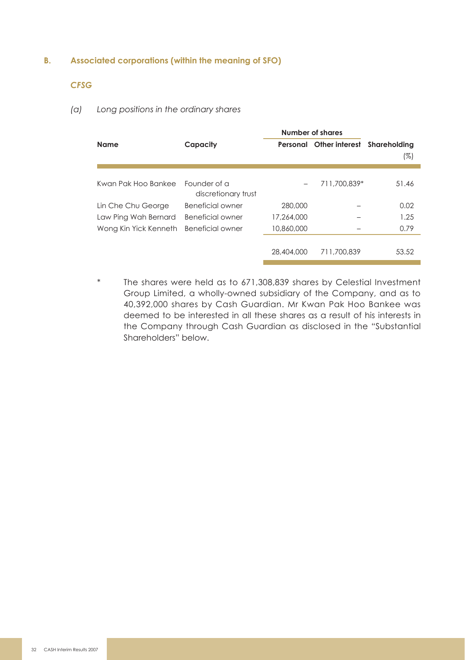## **B. Associated corporations (within the meaning of SFO)**

## *CFSG*

### *(a) Long positions in the ordinary shares*

|                       |                                     | Number of shares |                         |              |
|-----------------------|-------------------------------------|------------------|-------------------------|--------------|
| Name                  | Capacity                            |                  | Personal Other interest | Shareholdina |
|                       |                                     |                  |                         | (%)          |
|                       |                                     |                  |                         |              |
| Kwan Pak Hoo Bankee   | Founder of a<br>discretionary trust |                  | 711.700.839*            | 51.46        |
| Lin Che Chu George    | Beneficial owner                    | 280,000          |                         | 0.02         |
| Law Ping Wah Bernard  | Beneficial owner                    | 17.264.000       |                         | 1.25         |
| Wong Kin Yick Kenneth | Beneficial owner                    | 10,860,000       |                         | 0.79         |
|                       |                                     |                  |                         |              |
|                       |                                     | 28,404,000       | 711.700.839             | 53.52        |
|                       |                                     |                  |                         |              |

\* The shares were held as to 671,308,839 shares by Celestial Investment Group Limited, a wholly-owned subsidiary of the Company, and as to 40,392,000 shares by Cash Guardian. Mr Kwan Pak Hoo Bankee was deemed to be interested in all these shares as a result of his interests in the Company through Cash Guardian as disclosed in the "Substantial Shareholders" below.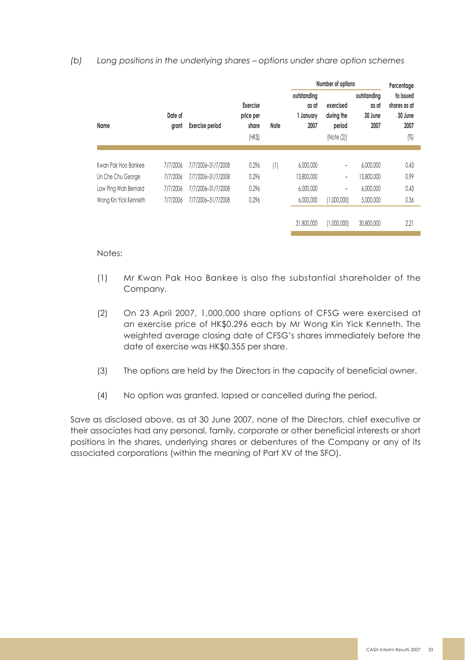*(b) Long positions in the underlying shares – options under share option schemes*

|                       |                  |                        |                                          |                  | Number of options                         |                                                 |                                         | Percentage                                             |
|-----------------------|------------------|------------------------|------------------------------------------|------------------|-------------------------------------------|-------------------------------------------------|-----------------------------------------|--------------------------------------------------------|
| Name                  | Date of<br>arant | <b>Exercise period</b> | Exercise<br>price per<br>share<br>(HK\$) | Note             | outstanding<br>as at<br>1 January<br>2007 | exercised<br>during the<br>period<br>(Note (2)) | outstandina<br>as at<br>30 June<br>2007 | to issued<br>shares as at<br>30 June<br>2007<br>$(\%)$ |
|                       |                  |                        |                                          |                  |                                           |                                                 |                                         |                                                        |
| Kwan Pak Hoo Bankee   | 7/7/2006         | 7/7/2006-31/7/2008     | 0.296                                    | $\left(1\right)$ | 6.000.000                                 | $\overline{\phantom{0}}$                        | 6.000.000                               | 0.43                                                   |
| Lin Che Chu George    | 7/7/2006         | 7/7/2006-31/7/2008     | 0.296                                    |                  | 13,800,000                                | $\qquad \qquad$                                 | 13,800,000                              | 0.99                                                   |
| Law Ping Wah Bernard  | 7/7/2006         | 7/7/2006-31/7/2008     | 0.296                                    |                  | 6.000.000                                 | $\overline{\phantom{0}}$                        | 6.000.000                               | 0.43                                                   |
| Wong Kin Yick Kenneth | 7/7/2006         | 7/7/2006-31/7/2008     | 0.296                                    |                  | 6,000,000                                 | (1,000,000)                                     | 5,000,000                               | 0.36                                                   |
|                       |                  |                        |                                          |                  | 31.800.000                                | (1,000,000)                                     | 30.800.000                              | 2.21                                                   |
|                       |                  |                        |                                          |                  |                                           |                                                 |                                         |                                                        |

Notes:

- (1) Mr Kwan Pak Hoo Bankee is also the substantial shareholder of the Company.
- (2) On 23 April 2007, 1,000,000 share options of CFSG were exercised at an exercise price of HK\$0.296 each by Mr Wong Kin Yick Kenneth. The weighted average closing date of CFSG's shares immediately before the date of exercise was HK\$0.355 per share.
- (3) The options are held by the Directors in the capacity of beneficial owner.
- (4) No option was granted, lapsed or cancelled during the period.

Save as disclosed above, as at 30 June 2007, none of the Directors, chief executive or their associates had any personal, family, corporate or other beneficial interests or short positions in the shares, underlying shares or debentures of the Company or any of its associated corporations (within the meaning of Part XV of the SFO).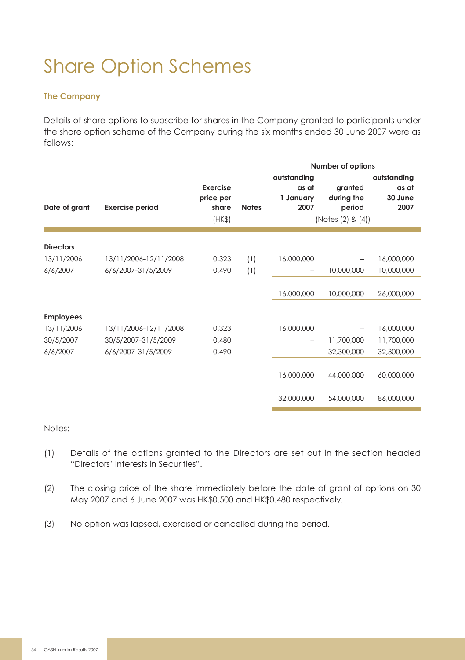# Share Option Schemes

## **The Company**

Details of share options to subscribe for shares in the Company granted to participants under the share option scheme of the Company during the six months ended 30 June 2007 were as follows:

|                  |                        |                                                 |              | Number of options                         |                                                      |                                         |
|------------------|------------------------|-------------------------------------------------|--------------|-------------------------------------------|------------------------------------------------------|-----------------------------------------|
| Date of grant    | <b>Exercise period</b> | <b>Exercise</b><br>price per<br>share<br>(HK\$) | <b>Notes</b> | outstanding<br>as at<br>1 January<br>2007 | granted<br>during the<br>period<br>(Notes (2) & (4)) | outstanding<br>as at<br>30 June<br>2007 |
| <b>Directors</b> |                        |                                                 |              |                                           |                                                      |                                         |
| 13/11/2006       | 13/11/2006-12/11/2008  | 0.323                                           | (1)          | 16,000,000                                |                                                      | 16,000,000                              |
| 6/6/2007         | 6/6/2007-31/5/2009     | 0.490                                           | (1)          | -                                         | 10,000,000                                           | 10,000,000                              |
|                  |                        |                                                 |              |                                           |                                                      |                                         |
|                  |                        |                                                 |              | 16,000,000                                | 10,000,000                                           | 26,000,000                              |
|                  |                        |                                                 |              |                                           |                                                      |                                         |
| <b>Employees</b> |                        |                                                 |              |                                           |                                                      |                                         |
| 13/11/2006       | 13/11/2006-12/11/2008  | 0.323                                           |              | 16,000,000                                |                                                      | 16,000,000                              |
| 30/5/2007        | 30/5/2007-31/5/2009    | 0.480                                           |              | -                                         | 11,700,000                                           | 11,700,000                              |
| 6/6/2007         | 6/6/2007-31/5/2009     | 0.490                                           |              | -                                         | 32,300,000                                           | 32,300,000                              |
|                  |                        |                                                 |              |                                           |                                                      |                                         |
|                  |                        |                                                 |              | 16,000,000                                | 44,000,000                                           | 60,000,000                              |
|                  |                        |                                                 |              |                                           |                                                      |                                         |
|                  |                        |                                                 |              | 32,000,000                                | 54,000,000                                           | 86,000,000                              |
|                  |                        |                                                 |              |                                           |                                                      |                                         |

Notes:

- (1) Details of the options granted to the Directors are set out in the section headed "Directors' Interests in Securities".
- (2) The closing price of the share immediately before the date of grant of options on 30 May 2007 and 6 June 2007 was HK\$0.500 and HK\$0.480 respectively.
- (3) No option was lapsed, exercised or cancelled during the period.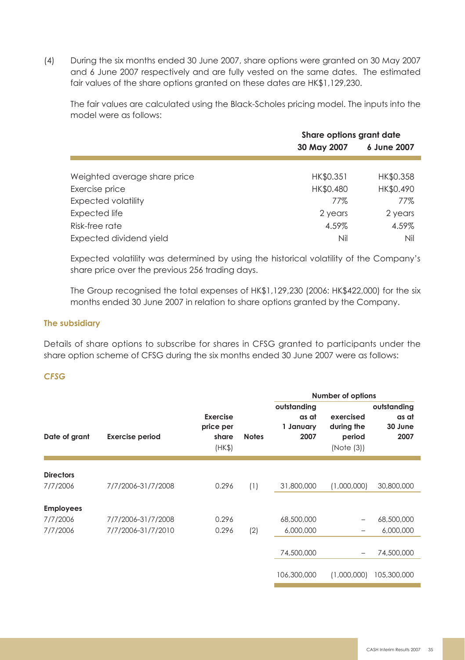(4) During the six months ended 30 June 2007, share options were granted on 30 May 2007 and 6 June 2007 respectively and are fully vested on the same dates. The estimated fair values of the share options aranted on these dates are HK\$1,129,230.

The fair values are calculated using the Black-Scholes pricing model. The inputs into the model were as follows:

|                              | Share options grant date |             |  |
|------------------------------|--------------------------|-------------|--|
|                              | 30 May 2007              | 6 June 2007 |  |
|                              |                          |             |  |
| Weighted average share price | HK\$0.351                | HK\$0.358   |  |
| Exercise price               | HK\$0.480                | HK\$0.490   |  |
| <b>Expected volatility</b>   | 77%                      | 77%         |  |
| Expected life                | 2 years                  | 2 years     |  |
| Risk-free rate               | 4.59%                    | 4.59%       |  |
| Expected dividend yield      | Nil                      | Nil         |  |

Expected volatility was determined by using the historical volatility of the Company's share price over the previous 256 trading days.

The Group recognised the total expenses of HK\$1,129,230 (2006: HK\$422,000) for the six months ended 30 June 2007 in relation to share options granted by the Company.

## **The subsidiary**

Details of share options to subscribe for shares in CFSG granted to participants under the share option scheme of CFSG during the six months ended 30 June 2007 were as follows:

## *CFSG*

|                  |                        |                                          |              | Number of options                         |                                                 |                                         |
|------------------|------------------------|------------------------------------------|--------------|-------------------------------------------|-------------------------------------------------|-----------------------------------------|
| Date of grant    | <b>Exercise period</b> | Exercise<br>price per<br>share<br>(HK\$) | <b>Notes</b> | outstanding<br>as at<br>1 January<br>2007 | exercised<br>during the<br>period<br>(Note (3)) | outstanding<br>as at<br>30 June<br>2007 |
|                  |                        |                                          |              |                                           |                                                 |                                         |
| <b>Directors</b> |                        |                                          |              |                                           |                                                 |                                         |
| 7/7/2006         | 7/7/2006-31/7/2008     | 0.296                                    | (1)          | 31,800,000                                | (1,000,000)                                     | 30,800,000                              |
|                  |                        |                                          |              |                                           |                                                 |                                         |
| <b>Employees</b> |                        |                                          |              |                                           |                                                 |                                         |
| 7/7/2006         | 7/7/2006-31/7/2008     | 0.296                                    |              | 68,500,000                                | -                                               | 68,500,000                              |
| 7/7/2006         | 7/7/2006-31/7/2010     | 0.296                                    | (2)          | 6,000,000                                 | -                                               | 6,000,000                               |
|                  |                        |                                          |              |                                           |                                                 |                                         |
|                  |                        |                                          |              | 74,500,000                                | -                                               | 74,500,000                              |
|                  |                        |                                          |              |                                           |                                                 |                                         |
|                  |                        |                                          |              | 106.300.000                               | (1,000,000)                                     | 105,300,000                             |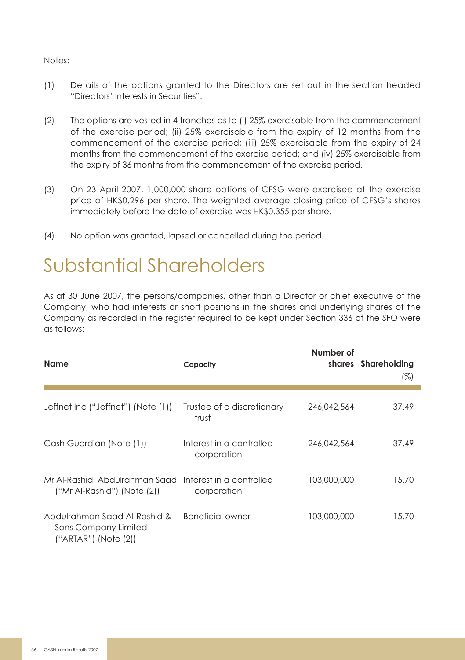### Notes:

- (1) Details of the options granted to the Directors are set out in the section headed "Directors' Interests in Securities".
- (2) The options are vested in 4 tranches as to (i) 25% exercisable from the commencement of the exercise period; (ii) 25% exercisable from the expiry of 12 months from the commencement of the exercise period; (iii) 25% exercisable from the expiry of 24 months from the commencement of the exercise period; and (iv) 25% exercisable from the expiry of 36 months from the commencement of the exercise period.
- (3) On 23 April 2007, 1,000,000 share options of CFSG were exercised at the exercise price of HK\$0.296 per share. The weighted average closing price of CFSG's shares immediately before the date of exercise was HK\$0.355 per share.
- (4) No option was granted, lapsed or cancelled during the period.

## Substantial Shareholders

As at 30 June 2007, the persons/companies, other than a Director or chief executive of the Company, who had interests or short positions in the shares and underlying shares of the Company as recorded in the register required to be kept under Section 336 of the SFO were as follows:

| <b>Name</b>                                                                            | Capacity                                | Number of   | shares Shareholding<br>(%) |
|----------------------------------------------------------------------------------------|-----------------------------------------|-------------|----------------------------|
| Jeffnet Inc ("Jeffnet") (Note (1))                                                     | Trustee of a discretionary<br>trust     | 246.042.564 | 37.49                      |
| Cash Guardian (Note (1))                                                               | Interest in a controlled<br>corporation | 246.042.564 | 37.49                      |
| Mr Al-Rashid, Abdulrahman Saad Interest in a controlled<br>("Mr Al-Rashid") (Note (2)) | corporation                             | 103,000,000 | 15.70                      |
| Abdulrahman Saad Al-Rashid &<br>Sons Company Limited<br>(''ARTAR") (Note (2))          | Beneficial owner                        | 103,000,000 | 15.70                      |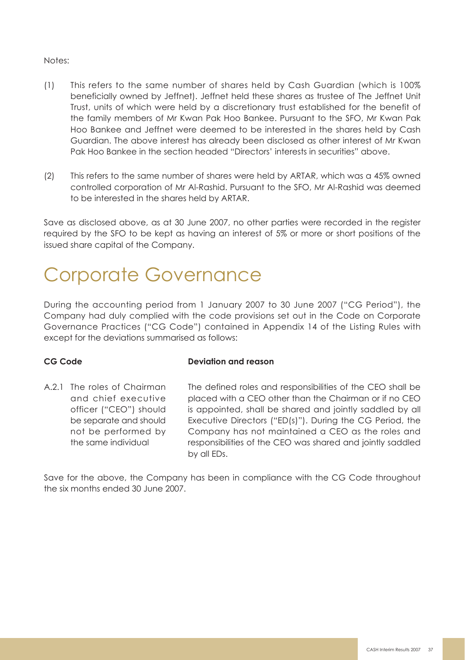## Notes:

- (1) This refers to the same number of shares held by Cash Guardian (which is 100% beneficially owned by Jeffnet). Jeffnet held these shares as trustee of The Jeffnet Unit Trust, units of which were held by a discretionary trust established for the benefit of the family members of Mr Kwan Pak Hoo Bankee. Pursuant to the SFO, Mr Kwan Pak Hoo Bankee and Jeffnet were deemed to be interested in the shares held by Cash Guardian. The above interest has already been disclosed as other interest of Mr Kwan Pak Hoo Bankee in the section headed "Directors' interests in securities" above.
- (2) This refers to the same number of shares were held by ARTAR, which was a 45% owned controlled corporation of Mr Al-Rashid. Pursuant to the SFO, Mr Al-Rashid was deemed to be interested in the shares held by ARTAR.

Save as disclosed above, as at 30 June 2007, no other parties were recorded in the register required by the SFO to be kept as having an interest of 5% or more or short positions of the issued share capital of the Company.

## Corporate Governance

During the accounting period from 1 January 2007 to 30 June 2007 ("CG Period"), the Company had duly complied with the code provisions set out in the Code on Corporate Governance Practices ("CG Code") contained in Appendix 14 of the Listing Rules with except for the deviations summarised as follows:

## **CG Code Deviation and reason**

A.2.1 The roles of Chairman and chief executive officer ("CEO") should be separate and should not be performed by the same individual

The defined roles and responsibilities of the CEO shall be placed with a CEO other than the Chairman or if no CEO is appointed, shall be shared and jointly saddled by all Executive Directors ("ED(s)"). During the CG Period, the Company has not maintained a CEO as the roles and responsibilities of the CEO was shared and jointly saddled by all EDs.

Save for the above, the Company has been in compliance with the CG Code throughout the six months ended 30 June 2007.